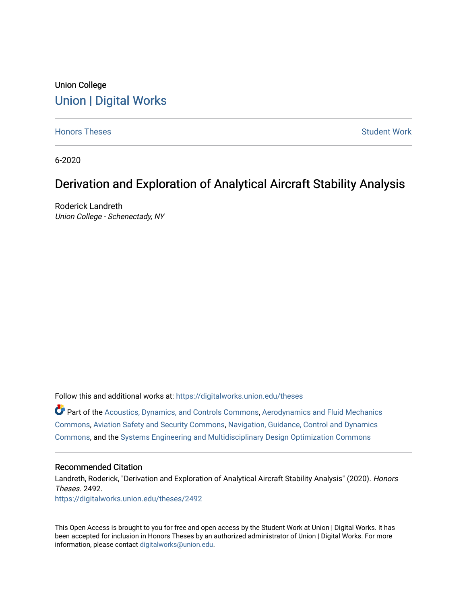# Union College [Union | Digital Works](https://digitalworks.union.edu/)

[Honors Theses](https://digitalworks.union.edu/theses) [Student Work](https://digitalworks.union.edu/studentwork) and Student Work and Student Work Student Work

6-2020

# Derivation and Exploration of Analytical Aircraft Stability Analysis

Roderick Landreth Union College - Schenectady, NY

Follow this and additional works at: [https://digitalworks.union.edu/theses](https://digitalworks.union.edu/theses?utm_source=digitalworks.union.edu%2Ftheses%2F2492&utm_medium=PDF&utm_campaign=PDFCoverPages) 

Part of the [Acoustics, Dynamics, and Controls Commons](http://network.bepress.com/hgg/discipline/294?utm_source=digitalworks.union.edu%2Ftheses%2F2492&utm_medium=PDF&utm_campaign=PDFCoverPages), [Aerodynamics and Fluid Mechanics](http://network.bepress.com/hgg/discipline/222?utm_source=digitalworks.union.edu%2Ftheses%2F2492&utm_medium=PDF&utm_campaign=PDFCoverPages)  [Commons](http://network.bepress.com/hgg/discipline/222?utm_source=digitalworks.union.edu%2Ftheses%2F2492&utm_medium=PDF&utm_campaign=PDFCoverPages), [Aviation Safety and Security Commons,](http://network.bepress.com/hgg/discipline/1320?utm_source=digitalworks.union.edu%2Ftheses%2F2492&utm_medium=PDF&utm_campaign=PDFCoverPages) [Navigation, Guidance, Control and Dynamics](http://network.bepress.com/hgg/discipline/226?utm_source=digitalworks.union.edu%2Ftheses%2F2492&utm_medium=PDF&utm_campaign=PDFCoverPages)  [Commons](http://network.bepress.com/hgg/discipline/226?utm_source=digitalworks.union.edu%2Ftheses%2F2492&utm_medium=PDF&utm_campaign=PDFCoverPages), and the [Systems Engineering and Multidisciplinary Design Optimization Commons](http://network.bepress.com/hgg/discipline/221?utm_source=digitalworks.union.edu%2Ftheses%2F2492&utm_medium=PDF&utm_campaign=PDFCoverPages)

#### Recommended Citation

Landreth, Roderick, "Derivation and Exploration of Analytical Aircraft Stability Analysis" (2020). Honors Theses. 2492. [https://digitalworks.union.edu/theses/2492](https://digitalworks.union.edu/theses/2492?utm_source=digitalworks.union.edu%2Ftheses%2F2492&utm_medium=PDF&utm_campaign=PDFCoverPages)

This Open Access is brought to you for free and open access by the Student Work at Union | Digital Works. It has been accepted for inclusion in Honors Theses by an authorized administrator of Union | Digital Works. For more information, please contact [digitalworks@union.edu.](mailto:digitalworks@union.edu)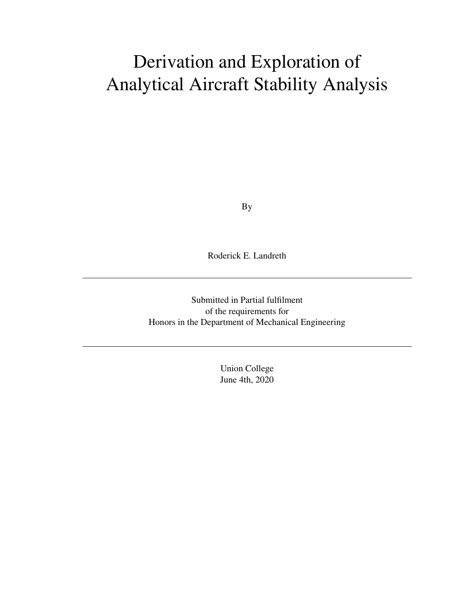# Derivation and Exploration of Analytical Aircraft Stability Analysis

By

Roderick E. Landreth

Submitted in Partial fulfilment of the requirements for Honors in the Department of Mechanical Engineering

> Union College June 4th, 2020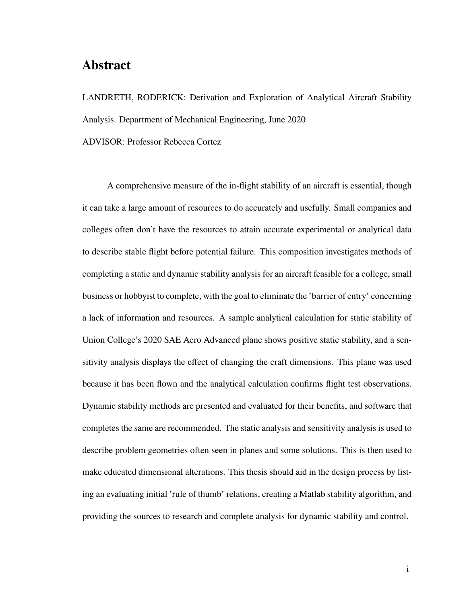# **Abstract**

LANDRETH, RODERICK: Derivation and Exploration of Analytical Aircraft Stability Analysis. Department of Mechanical Engineering, June 2020

ADVISOR: Professor Rebecca Cortez

A comprehensive measure of the in-flight stability of an aircraft is essential, though it can take a large amount of resources to do accurately and usefully. Small companies and colleges often don't have the resources to attain accurate experimental or analytical data to describe stable flight before potential failure. This composition investigates methods of completing a static and dynamic stability analysis for an aircraft feasible for a college, small business or hobbyist to complete, with the goal to eliminate the 'barrier of entry' concerning a lack of information and resources. A sample analytical calculation for static stability of Union College's 2020 SAE Aero Advanced plane shows positive static stability, and a sensitivity analysis displays the effect of changing the craft dimensions. This plane was used because it has been flown and the analytical calculation confirms flight test observations. Dynamic stability methods are presented and evaluated for their benefits, and software that completes the same are recommended. The static analysis and sensitivity analysis is used to describe problem geometries often seen in planes and some solutions. This is then used to make educated dimensional alterations. This thesis should aid in the design process by listing an evaluating initial 'rule of thumb' relations, creating a Matlab stability algorithm, and providing the sources to research and complete analysis for dynamic stability and control.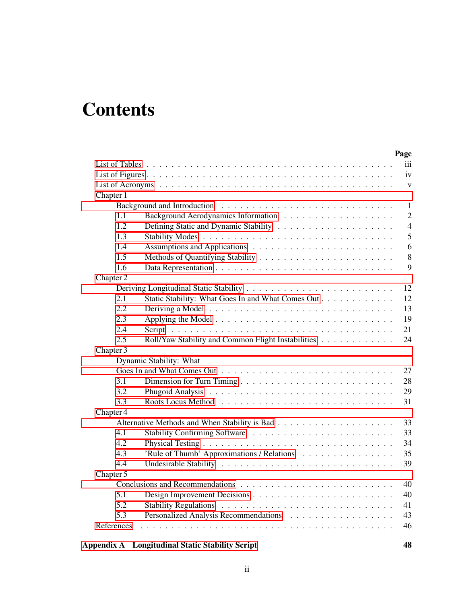# **Contents**

|            | Page                                                     |                |
|------------|----------------------------------------------------------|----------------|
|            |                                                          | iii            |
|            |                                                          | iv             |
|            |                                                          | $\mathbf{V}$   |
| Chapter 1  |                                                          |                |
|            | Background and Introduction                              | $\mathbf{1}$   |
| 1.1        |                                                          | $\overline{2}$ |
| 1.2        |                                                          | $\overline{4}$ |
| 1.3        |                                                          | 5              |
| 1.4        |                                                          | 6              |
| 1.5        |                                                          | $8\,$          |
| 1.6        |                                                          | 9              |
| Chapter 2  |                                                          |                |
|            | 12                                                       |                |
| 2.1        | 12<br>Static Stability: What Goes In and What Comes Out  |                |
| 2.2        | 13                                                       |                |
| 2.3        | 19                                                       |                |
| 2.4        | 21<br>Script                                             |                |
| 2.5        | Roll/Yaw Stability and Common Flight Instabilities<br>24 |                |
| Chapter 3  |                                                          |                |
|            | Dynamic Stability: What                                  |                |
|            | 27                                                       |                |
| 3.1        | 28                                                       |                |
| 3.2        | 29                                                       |                |
| 3.3        | 31                                                       |                |
| Chapter 4  |                                                          |                |
|            | 33                                                       |                |
| 4.1        | 33                                                       |                |
| 4.2        | 34                                                       |                |
| 4.3        | 'Rule of Thumb' Approximations / Relations<br>35         |                |
| 4.4        | 39                                                       |                |
| Chapter 5  |                                                          |                |
|            | 40                                                       |                |
| 5.1        | 40                                                       |                |
| 5.2        | 41                                                       |                |
| 5.3        | 43                                                       |                |
| References | 46                                                       |                |

#### **[Appendix A Longitudinal Static Stability Script](#page-54-0) 48**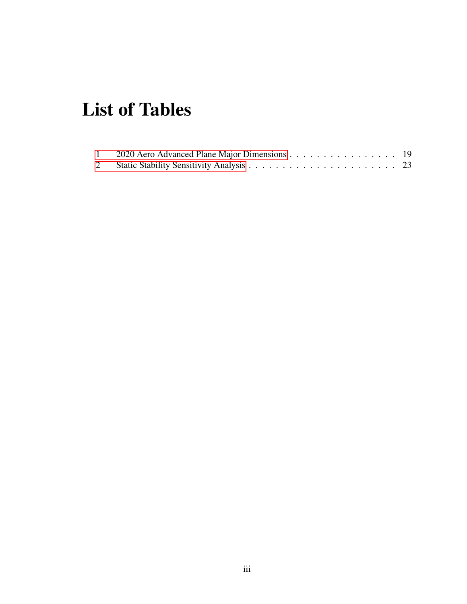# <span id="page-4-0"></span>**List of Tables**

| 2020 Aero Advanced Plane Major Dimensions 19 |  |
|----------------------------------------------|--|
|                                              |  |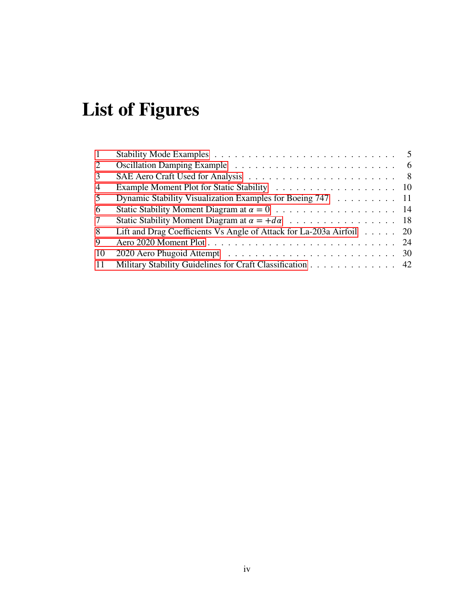# <span id="page-5-0"></span>**List of Figures**

| $\mathbf{1}$    | Stability Mode Examples $\ldots \ldots \ldots \ldots \ldots \ldots \ldots \ldots \ldots \ldots 5$ |  |
|-----------------|---------------------------------------------------------------------------------------------------|--|
| 2               |                                                                                                   |  |
| 3               |                                                                                                   |  |
| $\overline{4}$  |                                                                                                   |  |
| 5               | Dynamic Stability Visualization Examples for Boeing 747 11                                        |  |
| 6               |                                                                                                   |  |
| $7\overline{ }$ |                                                                                                   |  |
| 8               | Lift and Drag Coefficients Vs Angle of Attack for La-203a Airfoil 20                              |  |
| 9               |                                                                                                   |  |
| 10              |                                                                                                   |  |
| 11              | Military Stability Guidelines for Craft Classification 42                                         |  |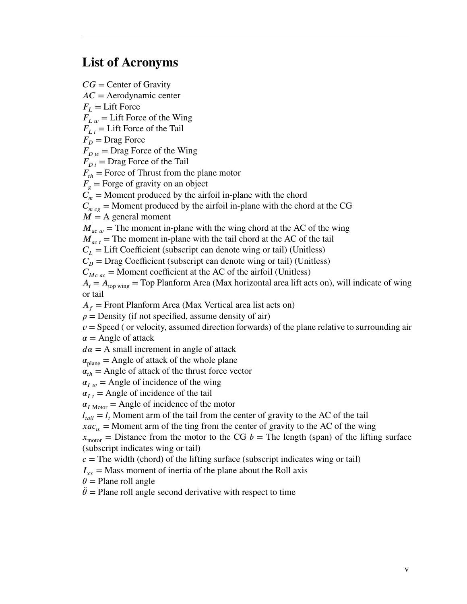# <span id="page-6-0"></span>**List of Acronyms**

*𝐶𝐺* = Center of Gravity *𝐴𝐶* = Aerodynamic center  $F_{\textit{L}} =$  Lift Force  $F_{I,w}$  = Lift Force of the Wing  $F_{i,t}$  = Lift Force of the Tail  $F_n$  = Drag Force  $F_{D,\mu}$  = Drag Force of the Wing  $F_{D<sub>t</sub>}$  = Drag Force of the Tail  $F_{th}$  = Force of Thrust from the plane motor  $F_{\varrho}$  = Forge of gravity on an object  $C_m$  = Moment produced by the airfoil in-plane with the chord  $C_{m c g}$  = Moment produced by the airfoil in-plane with the chord at the CG  $M = A$  general moment  $M_{ac,w}$  = The moment in-plane with the wing chord at the AC of the wing  $M_{act}$  = The moment in-plane with the tail chord at the AC of the tail  $C_L$  = Lift Coefficient (subscript can denote wing or tail) (Unitless)  $C<sub>D</sub>$  = Drag Coefficient (subscript can denote wing or tail) (Unitless)  $C_{Mc,ac}$  = Moment coefficient at the AC of the airfoil (Unitless)  $A_t = A_{top \text{ wing}} = Top$  Planform Area (Max horizontal area lift acts on), will indicate of wing or tail  $A_f$  = Front Planform Area (Max Vertical area list acts on)  $\rho$  = Density (if not specified, assume density of air)  $v =$ Speed ( or velocity, assumed direction forwards) of the plane relative to surrounding air  $\alpha$  = Angle of attack  $d\alpha = A$  small increment in angle of attack  $\alpha_{\text{plane}}$  = Angle of attack of the whole plane  $\alpha_{th}$  = Angle of attack of the thrust force vector  $\alpha_{I,\mu}$  = Angle of incidence of the wing  $\alpha_{I,t}$  = Angle of incidence of the tail  $\alpha_{I \text{ Motor}}$  = Angle of incidence of the motor  $l_{tail} = l_t$  Moment arm of the tail from the center of gravity to the AC of the tail  $xac_w$  = Moment arm of the ting from the center of gravity to the AC of the wing  $x_{\text{motor}}$  = Distance from the motor to the CG  $b$  = The length (span) of the lifting surface (subscript indicates wing or tail)  $c =$ The width (chord) of the lifting surface (subscript indicates wing or tail)  $I_{xx}$  = Mass moment of inertia of the plane about the Roll axis  $\theta$  = Plane roll angle  $\ddot{\theta}$  = Plane roll angle second derivative with respect to time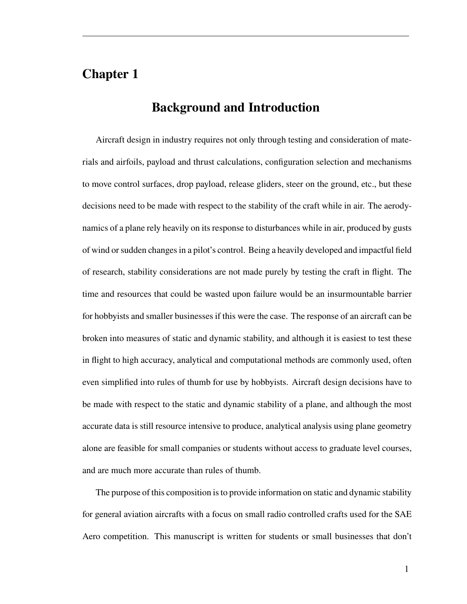# <span id="page-7-0"></span>**Chapter 1**

# **Background and Introduction**

Aircraft design in industry requires not only through testing and consideration of materials and airfoils, payload and thrust calculations, configuration selection and mechanisms to move control surfaces, drop payload, release gliders, steer on the ground, etc., but these decisions need to be made with respect to the stability of the craft while in air. The aerodynamics of a plane rely heavily on its response to disturbances while in air, produced by gusts of wind or sudden changes in a pilot's control. Being a heavily developed and impactful field of research, stability considerations are not made purely by testing the craft in flight. The time and resources that could be wasted upon failure would be an insurmountable barrier for hobbyists and smaller businesses if this were the case. The response of an aircraft can be broken into measures of static and dynamic stability, and although it is easiest to test these in flight to high accuracy, analytical and computational methods are commonly used, often even simplified into rules of thumb for use by hobbyists. Aircraft design decisions have to be made with respect to the static and dynamic stability of a plane, and although the most accurate data is still resource intensive to produce, analytical analysis using plane geometry alone are feasible for small companies or students without access to graduate level courses, and are much more accurate than rules of thumb.

The purpose of this composition is to provide information on static and dynamic stability for general aviation aircrafts with a focus on small radio controlled crafts used for the SAE Aero competition. This manuscript is written for students or small businesses that don't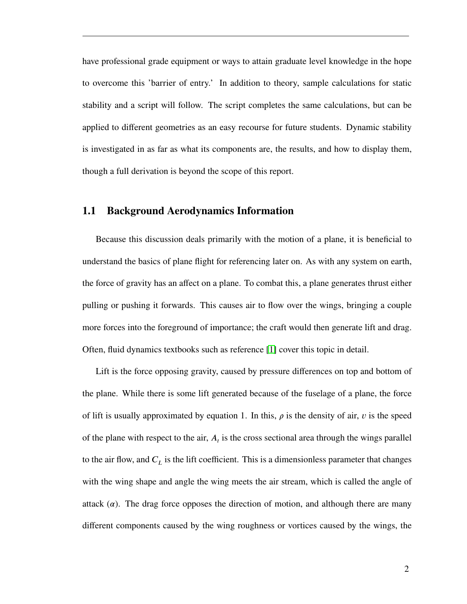have professional grade equipment or ways to attain graduate level knowledge in the hope to overcome this 'barrier of entry.' In addition to theory, sample calculations for static stability and a script will follow. The script completes the same calculations, but can be applied to different geometries as an easy recourse for future students. Dynamic stability is investigated in as far as what its components are, the results, and how to display them, though a full derivation is beyond the scope of this report.

#### <span id="page-8-0"></span>**1.1 Background Aerodynamics Information**

Because this discussion deals primarily with the motion of a plane, it is beneficial to understand the basics of plane flight for referencing later on. As with any system on earth, the force of gravity has an affect on a plane. To combat this, a plane generates thrust either pulling or pushing it forwards. This causes air to flow over the wings, bringing a couple more forces into the foreground of importance; the craft would then generate lift and drag. Often, fluid dynamics textbooks such as reference [\[1\]](#page-52-1) cover this topic in detail.

Lift is the force opposing gravity, caused by pressure differences on top and bottom of the plane. While there is some lift generated because of the fuselage of a plane, the force of lift is usually approximated by equation 1. In this,  $\rho$  is the density of air,  $\nu$  is the speed of the plane with respect to the air,  $A_t$  is the cross sectional area through the wings parallel to the air flow, and  $C_L$  is the lift coefficient. This is a dimensionless parameter that changes with the wing shape and angle the wing meets the air stream, which is called the angle of attack  $(\alpha)$ . The drag force opposes the direction of motion, and although there are many different components caused by the wing roughness or vortices caused by the wings, the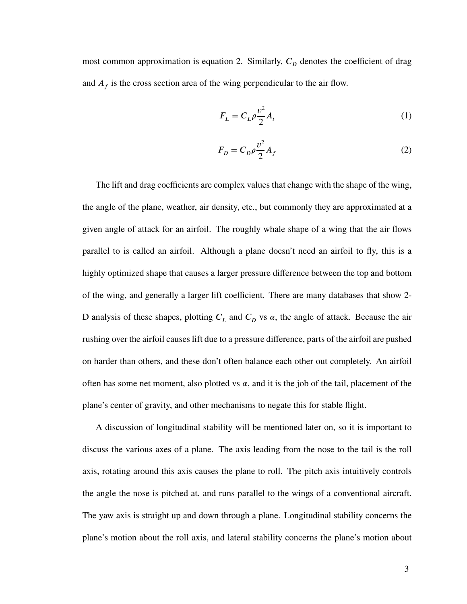most common approximation is equation 2. Similarly,  $C_p$  denotes the coefficient of drag and  $A_f$  is the cross section area of the wing perpendicular to the air flow.

$$
F_L = C_L \rho \frac{v^2}{2} A_t \tag{1}
$$

$$
F_D = C_D \rho \frac{v^2}{2} A_f \tag{2}
$$

The lift and drag coefficients are complex values that change with the shape of the wing, the angle of the plane, weather, air density, etc., but commonly they are approximated at a given angle of attack for an airfoil. The roughly whale shape of a wing that the air flows parallel to is called an airfoil. Although a plane doesn't need an airfoil to fly, this is a highly optimized shape that causes a larger pressure difference between the top and bottom of the wing, and generally a larger lift coefficient. There are many databases that show 2- D analysis of these shapes, plotting  $C_L$  and  $C_D$  vs  $\alpha$ , the angle of attack. Because the air rushing over the airfoil causes lift due to a pressure difference, parts of the airfoil are pushed on harder than others, and these don't often balance each other out completely. An airfoil often has some net moment, also plotted vs  $\alpha$ , and it is the job of the tail, placement of the plane's center of gravity, and other mechanisms to negate this for stable flight.

A discussion of longitudinal stability will be mentioned later on, so it is important to discuss the various axes of a plane. The axis leading from the nose to the tail is the roll axis, rotating around this axis causes the plane to roll. The pitch axis intuitively controls the angle the nose is pitched at, and runs parallel to the wings of a conventional aircraft. The yaw axis is straight up and down through a plane. Longitudinal stability concerns the plane's motion about the roll axis, and lateral stability concerns the plane's motion about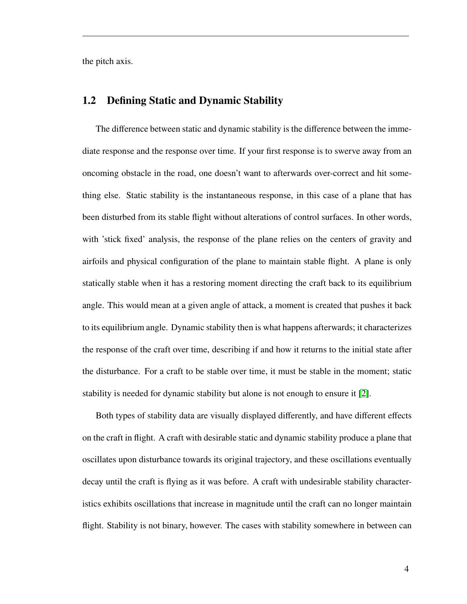<span id="page-10-0"></span>the pitch axis.

#### **1.2 Defining Static and Dynamic Stability**

The difference between static and dynamic stability is the difference between the immediate response and the response over time. If your first response is to swerve away from an oncoming obstacle in the road, one doesn't want to afterwards over-correct and hit something else. Static stability is the instantaneous response, in this case of a plane that has been disturbed from its stable flight without alterations of control surfaces. In other words, with 'stick fixed' analysis, the response of the plane relies on the centers of gravity and airfoils and physical configuration of the plane to maintain stable flight. A plane is only statically stable when it has a restoring moment directing the craft back to its equilibrium angle. This would mean at a given angle of attack, a moment is created that pushes it back to its equilibrium angle. Dynamic stability then is what happens afterwards; it characterizes the response of the craft over time, describing if and how it returns to the initial state after the disturbance. For a craft to be stable over time, it must be stable in the moment; static stability is needed for dynamic stability but alone is not enough to ensure it [\[2\]](#page-52-2).

Both types of stability data are visually displayed differently, and have different effects on the craft in flight. A craft with desirable static and dynamic stability produce a plane that oscillates upon disturbance towards its original trajectory, and these oscillations eventually decay until the craft is flying as it was before. A craft with undesirable stability characteristics exhibits oscillations that increase in magnitude until the craft can no longer maintain flight. Stability is not binary, however. The cases with stability somewhere in between can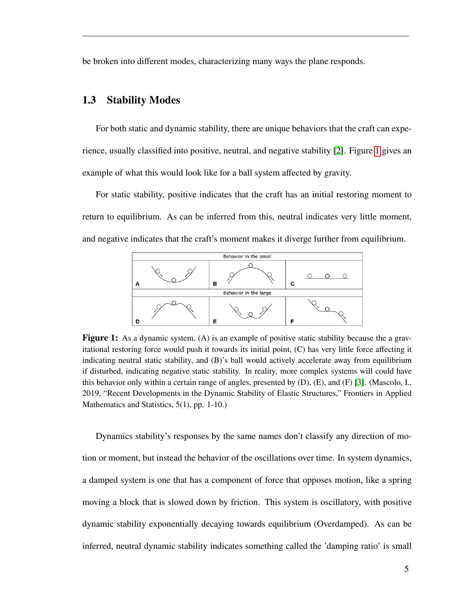<span id="page-11-0"></span>be broken into different modes, characterizing many ways the plane responds.

#### **1.3 Stability Modes**

For both static and dynamic stability, there are unique behaviors that the craft can experience, usually classified into positive, neutral, and negative stability [\[2\]](#page-52-2). Figure [1](#page-11-1) gives an example of what this would look like for a ball system affected by gravity.

For static stability, positive indicates that the craft has an initial restoring moment to return to equilibrium. As can be inferred from this, neutral indicates very little moment, and negative indicates that the craft's moment makes it diverge further from equilibrium.

<span id="page-11-1"></span>

**Figure 1:** As a dynamic system, (A) is an example of positive static stability because the a gravitational restoring force would push it towards its initial point, (C) has very little force affecting it indicating neutral static stability, and (B)'s ball would actively accelerate away from equilibrium if disturbed, indicating negative static stability. In reality, more complex systems will could have this behavior only within a certain range of angles, presented by (D), (E), and (F) [\[3\]](#page-52-3). (Mascolo, I., 2019, "Recent Developments in the Dynamic Stability of Elastic Structures," Frontiers in Applied Mathematics and Statistics, 5(1), pp. 1-10.)

Dynamics stability's responses by the same names don't classify any direction of motion or moment, but instead the behavior of the oscillations over time. In system dynamics, a damped system is one that has a component of force that opposes motion, like a spring moving a block that is slowed down by friction. This system is oscillatory, with positive dynamic stability exponentially decaying towards equilibrium (Overdamped). As can be inferred, neutral dynamic stability indicates something called the 'damping ratio' is small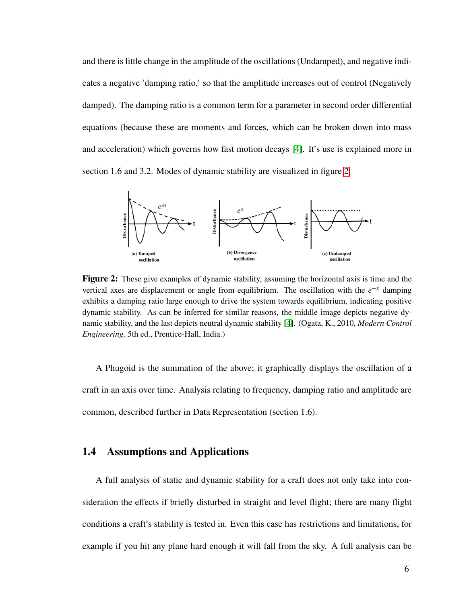and there is little change in the amplitude of the oscillations (Undamped), and negative indicates a negative 'damping ratio,' so that the amplitude increases out of control (Negatively damped). The damping ratio is a common term for a parameter in second order differential equations (because these are moments and forces, which can be broken down into mass and acceleration) which governs how fast motion decays [\[4\]](#page-52-4). It's use is explained more in section 1.6 and 3.2. Modes of dynamic stability are visualized in figure [2.](#page-12-1)

<span id="page-12-1"></span>

**Figure 2:** These give examples of dynamic stability, assuming the horizontal axis is time and the vertical axes are displacement or angle from equilibrium. The oscillation with the  $e^{-x}$  damping exhibits a damping ratio large enough to drive the system towards equilibrium, indicating positive dynamic stability. As can be inferred for similar reasons, the middle image depicts negative dynamic stability, and the last depicts neutral dynamic stability [\[4\]](#page-52-4). (Ogata, K., 2010, *Modern Control Engineering,* 5th ed., Prentice-Hall, India.)

A Phugoid is the summation of the above; it graphically displays the oscillation of a craft in an axis over time. Analysis relating to frequency, damping ratio and amplitude are common, described further in Data Representation (section 1.6).

#### <span id="page-12-0"></span>**1.4 Assumptions and Applications**

A full analysis of static and dynamic stability for a craft does not only take into consideration the effects if briefly disturbed in straight and level flight; there are many flight conditions a craft's stability is tested in. Even this case has restrictions and limitations, for example if you hit any plane hard enough it will fall from the sky. A full analysis can be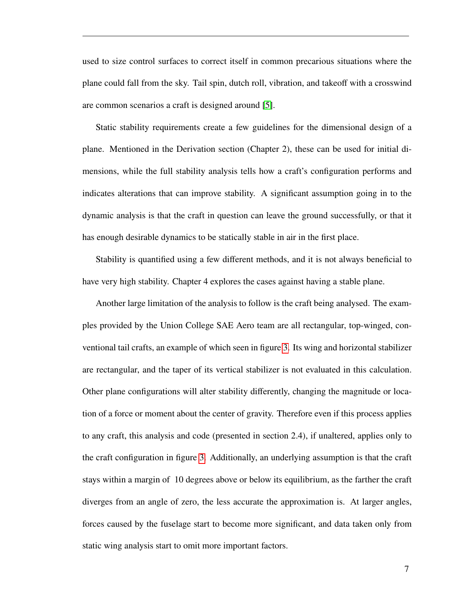used to size control surfaces to correct itself in common precarious situations where the plane could fall from the sky. Tail spin, dutch roll, vibration, and takeoff with a crosswind are common scenarios a craft is designed around [\[5\]](#page-52-5).

Static stability requirements create a few guidelines for the dimensional design of a plane. Mentioned in the Derivation section (Chapter 2), these can be used for initial dimensions, while the full stability analysis tells how a craft's configuration performs and indicates alterations that can improve stability. A significant assumption going in to the dynamic analysis is that the craft in question can leave the ground successfully, or that it has enough desirable dynamics to be statically stable in air in the first place.

Stability is quantified using a few different methods, and it is not always beneficial to have very high stability. Chapter 4 explores the cases against having a stable plane.

<span id="page-13-0"></span>Another large limitation of the analysis to follow is the craft being analysed. The examples provided by the Union College SAE Aero team are all rectangular, top-winged, conventional tail crafts, an example of which seen in figure [3.](#page-14-0) Its wing and horizontal stabilizer are rectangular, and the taper of its vertical stabilizer is not evaluated in this calculation. Other plane configurations will alter stability differently, changing the magnitude or location of a force or moment about the center of gravity. Therefore even if this process applies to any craft, this analysis and code (presented in section 2.4), if unaltered, applies only to the craft configuration in figure [3.](#page-14-0) Additionally, an underlying assumption is that the craft stays within a margin of 10 degrees above or below its equilibrium, as the farther the craft diverges from an angle of zero, the less accurate the approximation is. At larger angles, forces caused by the fuselage start to become more significant, and data taken only from static wing analysis start to omit more important factors.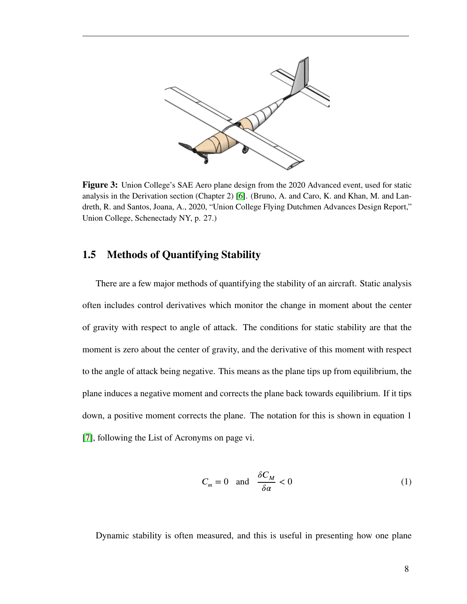<span id="page-14-0"></span>

**Figure 3:** Union College's SAE Aero plane design from the 2020 Advanced event, used for static analysis in the Derivation section (Chapter 2) [\[6\]](#page-52-6). (Bruno, A. and Caro, K. and Khan, M. and Landreth, R. and Santos, Joana, A., 2020, "Union College Flying Dutchmen Advances Design Report," Union College, Schenectady NY, p. 27.)

#### **1.5 Methods of Quantifying Stability**

There are a few major methods of quantifying the stability of an aircraft. Static analysis often includes control derivatives which monitor the change in moment about the center of gravity with respect to angle of attack. The conditions for static stability are that the moment is zero about the center of gravity, and the derivative of this moment with respect to the angle of attack being negative. This means as the plane tips up from equilibrium, the plane induces a negative moment and corrects the plane back towards equilibrium. If it tips down, a positive moment corrects the plane. The notation for this is shown in equation 1 [\[7\]](#page-52-7), following the List of Acronyms on page vi.

<span id="page-14-1"></span>
$$
C_m = 0 \quad \text{and} \quad \frac{\delta C_M}{\delta \alpha} < 0 \tag{1}
$$

Dynamic stability is often measured, and this is useful in presenting how one plane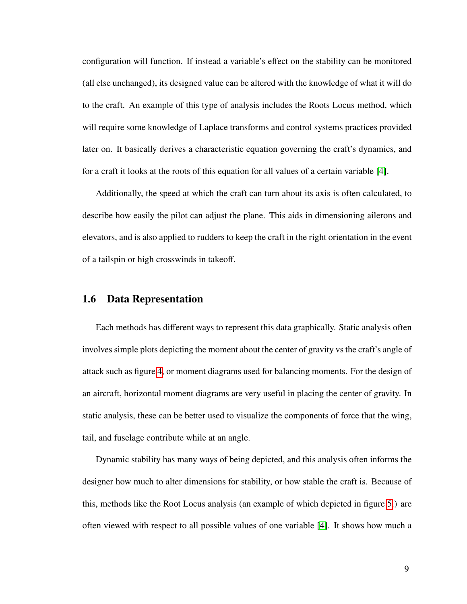configuration will function. If instead a variable's effect on the stability can be monitored (all else unchanged), its designed value can be altered with the knowledge of what it will do to the craft. An example of this type of analysis includes the Roots Locus method, which will require some knowledge of Laplace transforms and control systems practices provided later on. It basically derives a characteristic equation governing the craft's dynamics, and for a craft it looks at the roots of this equation for all values of a certain variable [\[4\]](#page-52-4).

Additionally, the speed at which the craft can turn about its axis is often calculated, to describe how easily the pilot can adjust the plane. This aids in dimensioning ailerons and elevators, and is also applied to rudders to keep the craft in the right orientation in the event of a tailspin or high crosswinds in takeoff.

#### <span id="page-15-0"></span>**1.6 Data Representation**

Each methods has different ways to represent this data graphically. Static analysis often involves simple plots depicting the moment about the center of gravity vs the craft's angle of attack such as figure [4,](#page-16-0) or moment diagrams used for balancing moments. For the design of an aircraft, horizontal moment diagrams are very useful in placing the center of gravity. In static analysis, these can be better used to visualize the components of force that the wing, tail, and fuselage contribute while at an angle.

Dynamic stability has many ways of being depicted, and this analysis often informs the designer how much to alter dimensions for stability, or how stable the craft is. Because of this, methods like the Root Locus analysis (an example of which depicted in figure [5.](#page-17-0)) are often viewed with respect to all possible values of one variable [\[4\]](#page-52-4). It shows how much a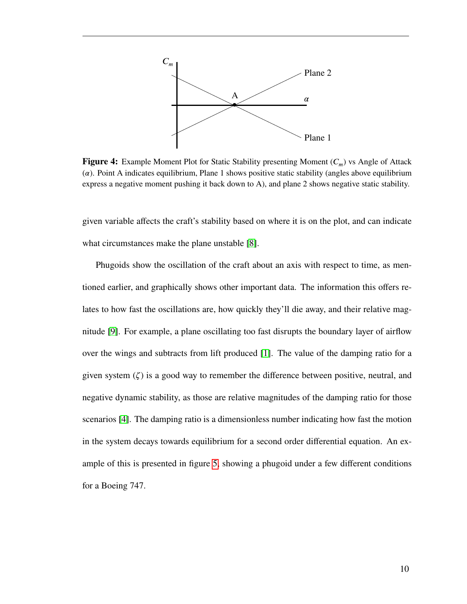<span id="page-16-0"></span>

**Figure 4:** Example Moment Plot for Static Stability presenting Moment ( $C_m$ ) vs Angle of Attack (*𝛼*). Point A indicates equilibrium, Plane 1 shows positive static stability (angles above equilibrium express a negative moment pushing it back down to A), and plane 2 shows negative static stability.

given variable affects the craft's stability based on where it is on the plot, and can indicate what circumstances make the plane unstable [\[8\]](#page-52-8).

Phugoids show the oscillation of the craft about an axis with respect to time, as mentioned earlier, and graphically shows other important data. The information this offers relates to how fast the oscillations are, how quickly they'll die away, and their relative magnitude [\[9\]](#page-52-9). For example, a plane oscillating too fast disrupts the boundary layer of airflow over the wings and subtracts from lift produced [\[1\]](#page-52-1). The value of the damping ratio for a given system  $(\zeta)$  is a good way to remember the difference between positive, neutral, and negative dynamic stability, as those are relative magnitudes of the damping ratio for those scenarios [\[4\]](#page-52-4). The damping ratio is a dimensionless number indicating how fast the motion in the system decays towards equilibrium for a second order differential equation. An example of this is presented in figure [5,](#page-17-0) showing a phugoid under a few different conditions for a Boeing 747.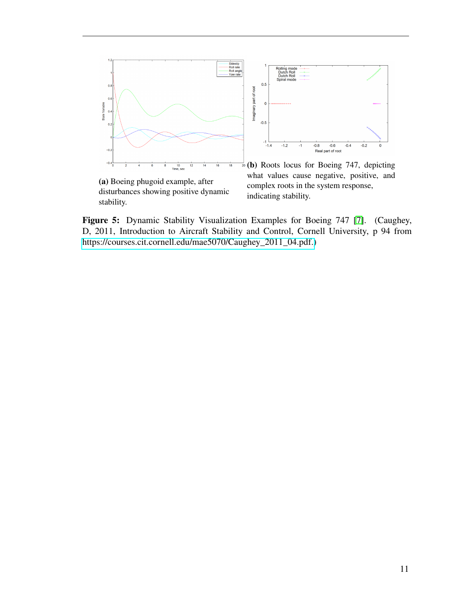<span id="page-17-0"></span>

disturbances showing positive dynamic stability.

what values cause negative, positive, and complex roots in the system response, indicating stability.

Figure 5: Dynamic Stability Visualization Examples for Boeing 747 [\[7\]](#page-52-7). (Caughey, D, 2011, Introduction to Aircraft Stability and Control, Cornell University, p 94 from [https://courses.cit.cornell.edu/mae5070/Caughey\\_2011\\_04.pdf.\)](https://courses.cit.cornell.edu/mae5070/Caughey_2011_04.pdf)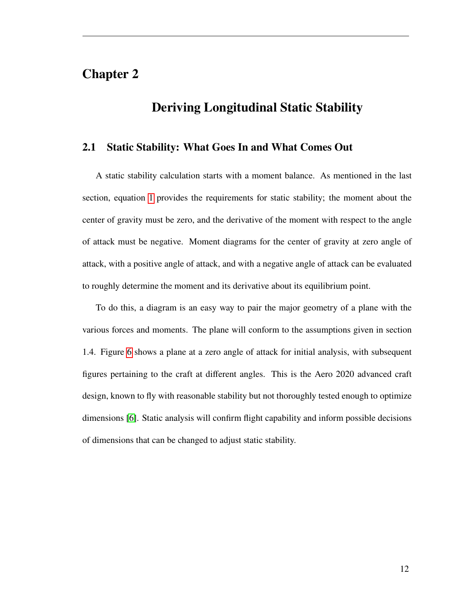## <span id="page-18-0"></span>**Chapter 2**

# **Deriving Longitudinal Static Stability**

#### <span id="page-18-1"></span>**2.1 Static Stability: What Goes In and What Comes Out**

A static stability calculation starts with a moment balance. As mentioned in the last section, equation [1](#page-14-1) provides the requirements for static stability; the moment about the center of gravity must be zero, and the derivative of the moment with respect to the angle of attack must be negative. Moment diagrams for the center of gravity at zero angle of attack, with a positive angle of attack, and with a negative angle of attack can be evaluated to roughly determine the moment and its derivative about its equilibrium point.

<span id="page-18-2"></span>To do this, a diagram is an easy way to pair the major geometry of a plane with the various forces and moments. The plane will conform to the assumptions given in section 1.4. Figure [6](#page-20-0) shows a plane at a zero angle of attack for initial analysis, with subsequent figures pertaining to the craft at different angles. This is the Aero 2020 advanced craft design, known to fly with reasonable stability but not thoroughly tested enough to optimize dimensions [\[6\]](#page-52-6). Static analysis will confirm flight capability and inform possible decisions of dimensions that can be changed to adjust static stability.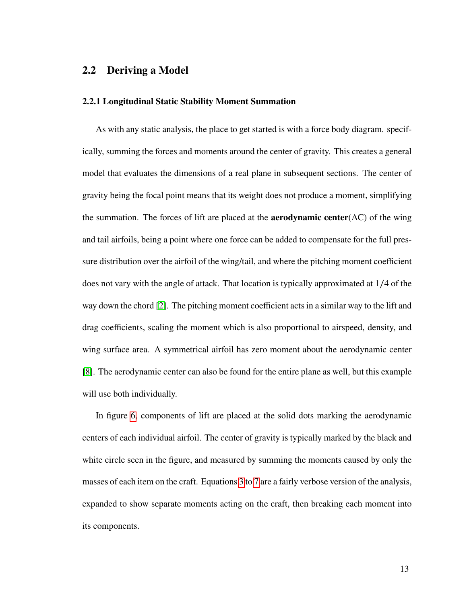#### **2.2 Deriving a Model**

#### **2.2.1 Longitudinal Static Stability Moment Summation**

As with any static analysis, the place to get started is with a force body diagram. specifically, summing the forces and moments around the center of gravity. This creates a general model that evaluates the dimensions of a real plane in subsequent sections. The center of gravity being the focal point means that its weight does not produce a moment, simplifying the summation. The forces of lift are placed at the **aerodynamic center**(AC) of the wing and tail airfoils, being a point where one force can be added to compensate for the full pressure distribution over the airfoil of the wing/tail, and where the pitching moment coefficient does not vary with the angle of attack. That location is typically approximated at 1∕4 of the way down the chord [\[2\]](#page-52-2). The pitching moment coefficient acts in a similar way to the lift and drag coefficients, scaling the moment which is also proportional to airspeed, density, and wing surface area. A symmetrical airfoil has zero moment about the aerodynamic center [\[8\]](#page-52-8). The aerodynamic center can also be found for the entire plane as well, but this example will use both individually.

In figure [6,](#page-20-0) components of lift are placed at the solid dots marking the aerodynamic centers of each individual airfoil. The center of gravity is typically marked by the black and white circle seen in the figure, and measured by summing the moments caused by only the masses of each item on the craft. Equations [3](#page-21-0) to [7](#page-22-0) are a fairly verbose version of the analysis, expanded to show separate moments acting on the craft, then breaking each moment into its components.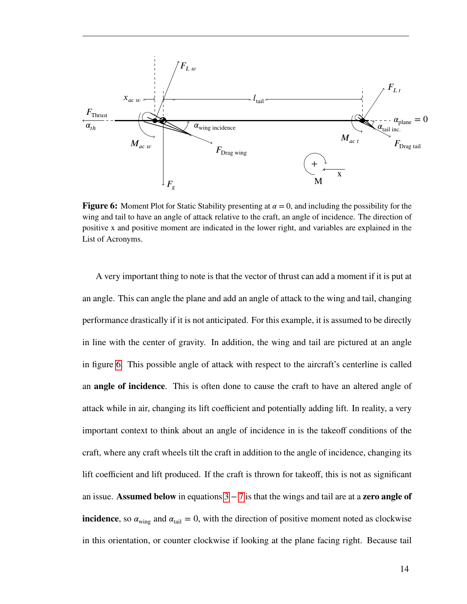<span id="page-20-0"></span>

**Figure 6:** Moment Plot for Static Stability presenting at  $\alpha = 0$ , and including the possibility for the wing and tail to have an angle of attack relative to the craft, an angle of incidence. The direction of positive x and positive moment are indicated in the lower right, and variables are explained in the List of Acronyms.

A very important thing to note is that the vector of thrust can add a moment if it is put at an angle. This can angle the plane and add an angle of attack to the wing and tail, changing performance drastically if it is not anticipated. For this example, it is assumed to be directly in line with the center of gravity. In addition, the wing and tail are pictured at an angle in figure [6.](#page-20-0) This possible angle of attack with respect to the aircraft's centerline is called an **angle of incidence**. This is often done to cause the craft to have an altered angle of attack while in air, changing its lift coefficient and potentially adding lift. In reality, a very important context to think about an angle of incidence in is the takeoff conditions of the craft, where any craft wheels tilt the craft in addition to the angle of incidence, changing its lift coefficient and lift produced. If the craft is thrown for takeoff, this is not as significant an issue. **Assumed below** in equations [3](#page-21-0) − [7](#page-22-0) is that the wings and tail are at a **zero angle of incidence**, so  $\alpha_{\text{wing}}$  and  $\alpha_{\text{tail}} = 0$ , with the direction of positive moment noted as clockwise in this orientation, or counter clockwise if looking at the plane facing right. Because tail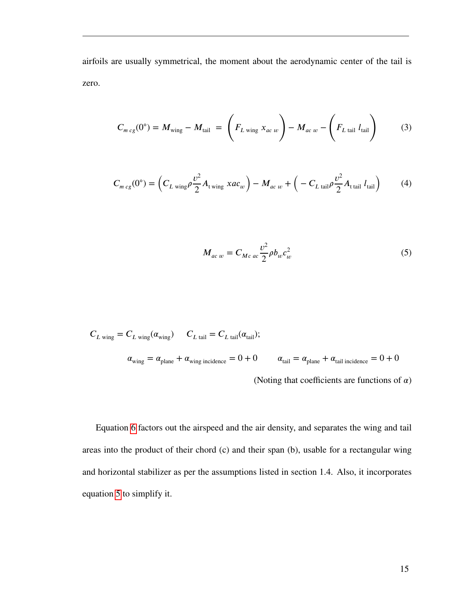airfoils are usually symmetrical, the moment about the aerodynamic center of the tail is zero.

<span id="page-21-0"></span>
$$
C_{m c g}(0^{\circ}) = M_{\text{wing}} - M_{\text{tail}} = \left( F_{L \text{ wing}} x_{ac w} \right) - M_{ac w} - \left( F_{L \text{ tail}} l_{\text{tail}} \right) \tag{3}
$$

$$
C_{m \, cg}(0^{\circ}) = \left(C_{L \, wing}\rho \frac{v^2}{2}A_{t \, wing} \, xac_w\right) - M_{ac \, w} + \left(-C_{L \, tail}\rho \frac{v^2}{2}A_{t \, tail} \, l_{tail}\right) \tag{4}
$$

<span id="page-21-1"></span>
$$
M_{ac\,\,w} = C_{Mc\,\,ac} \frac{\nu^2}{2} \rho b_w c_w^2 \tag{5}
$$

$$
C_{L \text{ wing}} = C_{L \text{ wing}}(\alpha_{\text{wing}}) \qquad C_{L \text{ tail}} = C_{L \text{ tail}}(\alpha_{\text{tail}});
$$
\n
$$
\alpha_{\text{wing}} = \alpha_{\text{plane}} + \alpha_{\text{wing incidence}} = 0 + 0 \qquad \alpha_{\text{tail}} = \alpha_{\text{plane}} + \alpha_{\text{tail incidence}} = 0 + 0
$$
\n(Noting that coefficients are functions of  $\alpha$ )

Equation [6](#page-22-1) factors out the airspeed and the air density, and separates the wing and tail areas into the product of their chord (c) and their span (b), usable for a rectangular wing and horizontal stabilizer as per the assumptions listed in section 1.4. Also, it incorporates equation [5](#page-21-1) to simplify it.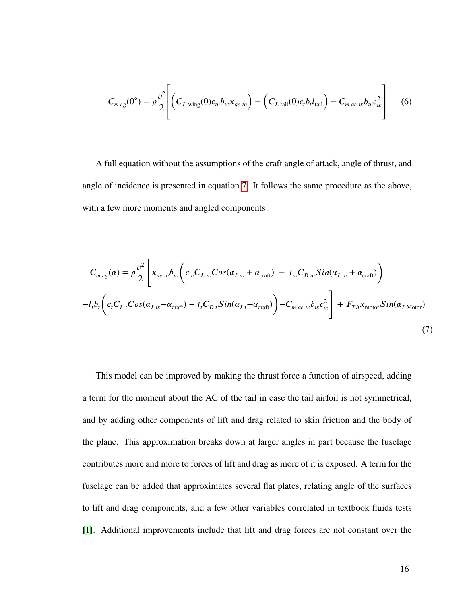<span id="page-22-1"></span>
$$
C_{m \, cg}(0^{\circ}) = \rho \frac{v^2}{2} \left[ \left( C_{L \, wing}(0)c_w b_w x_{ac \, w} \right) - \left( C_{L \, tail}(0)c_t b_t l_{tail} \right) - C_{m \, ac \, w} b_w c_w^2 \right] \tag{6}
$$

A full equation without the assumptions of the craft angle of attack, angle of thrust, and angle of incidence is presented in equation [7.](#page-22-0) It follows the same procedure as the above, with a few more moments and angled components :

<span id="page-22-0"></span>
$$
C_{m c g}(\alpha) = \rho \frac{v^2}{2} \left[ x_{ac w} b_w \left( c_w C_{L w} Cos(\alpha_{I w} + \alpha_{\text{craft}}) - t_w C_{D w} Sin(\alpha_{I w} + \alpha_{\text{craft}}) \right) - l_t b_t \left( c_t C_{L t} Cos(\alpha_{I w} - \alpha_{\text{craft}}) - t_t C_{D t} Sin(\alpha_{I t} + \alpha_{\text{craft}}) \right) - C_{m ac w} b_w c_w^2 \right] + F_{Th} x_{\text{motor}} Sin(\alpha_{I \text{ Motor}})
$$
\n(7)

This model can be improved by making the thrust force a function of airspeed, adding a term for the moment about the AC of the tail in case the tail airfoil is not symmetrical, and by adding other components of lift and drag related to skin friction and the body of the plane. This approximation breaks down at larger angles in part because the fuselage contributes more and more to forces of lift and drag as more of it is exposed. A term for the fuselage can be added that approximates several flat plates, relating angle of the surfaces to lift and drag components, and a few other variables correlated in textbook fluids tests [\[1\]](#page-52-1). Additional improvements include that lift and drag forces are not constant over the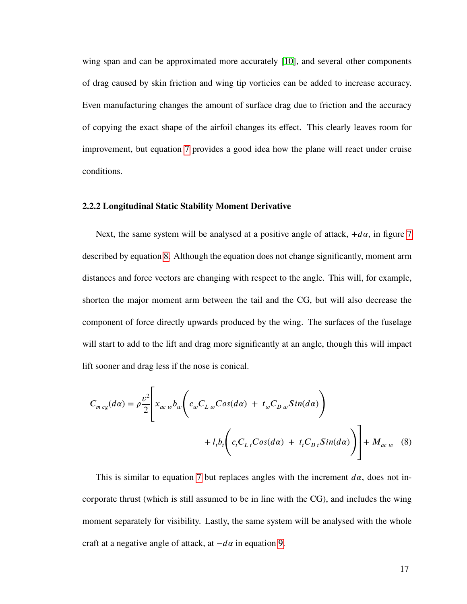wing span and can be approximated more accurately [\[10\]](#page-52-10), and several other components of drag caused by skin friction and wing tip vorticies can be added to increase accuracy. Even manufacturing changes the amount of surface drag due to friction and the accuracy of copying the exact shape of the airfoil changes its effect. This clearly leaves room for improvement, but equation [7](#page-22-0) provides a good idea how the plane will react under cruise conditions.

#### **2.2.2 Longitudinal Static Stability Moment Derivative**

Next, the same system will be analysed at a positive angle of attack,  $+d\alpha$ , in figure [7](#page-24-0) described by equation [8.](#page-23-0) Although the equation does not change significantly, moment arm distances and force vectors are changing with respect to the angle. This will, for example, shorten the major moment arm between the tail and the CG, but will also decrease the component of force directly upwards produced by the wing. The surfaces of the fuselage will start to add to the lift and drag more significantly at an angle, though this will impact lift sooner and drag less if the nose is conical.

<span id="page-23-0"></span>
$$
C_{m c g}(d\alpha) = \rho \frac{v^2}{2} \Bigg[ x_{ac w} b_w \Bigg( c_w C_{L w} Cos(d\alpha) + t_w C_{D w} Sin(d\alpha) \Bigg) + l_1 b_t \Bigg( c_t C_{L t} Cos(d\alpha) + t_t C_{D t} Sin(d\alpha) \Bigg) \Bigg] + M_{ac w} \quad (8)
$$

This is similar to equation [7](#page-22-0) but replaces angles with the increment  $d\alpha$ , does not incorporate thrust (which is still assumed to be in line with the CG), and includes the wing moment separately for visibility. Lastly, the same system will be analysed with the whole craft at a negative angle of attack, at  $-d\alpha$  in equation [9.](#page-24-1)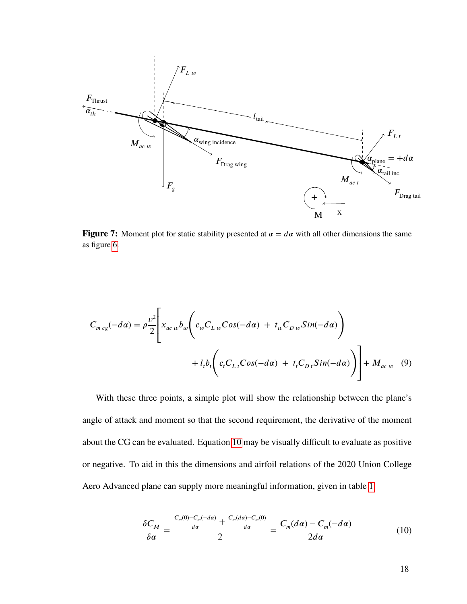<span id="page-24-0"></span>

**Figure 7:** Moment plot for static stability presented at  $\alpha = d\alpha$  with all other dimensions the same as figure [6.](#page-20-0)

$$
C_{m \, cg}(-d\alpha) = \rho \frac{v^2}{2} \left[ x_{ac \, w} b_w \left( c_w C_{L \, w} Cos(-d\alpha) + t_w C_{D \, w} Sin(-d\alpha) \right) + l_i b_i \left( c_i C_{L \, t} Cos(-d\alpha) + t_i C_{D \, t} Sin(-d\alpha) \right) \right] + M_{ac \, w} \quad (9)
$$

With these three points, a simple plot will show the relationship between the plane's angle of attack and moment so that the second requirement, the derivative of the moment about the CG can be evaluated. Equation [10](#page-24-2) may be visually difficult to evaluate as positive or negative. To aid in this the dimensions and airfoil relations of the 2020 Union College Aero Advanced plane can supply more meaningful information, given in table [1.](#page-25-1)

<span id="page-24-2"></span><span id="page-24-1"></span>
$$
\frac{\delta C_M}{\delta \alpha} = \frac{\frac{C_m(0) - C_m(-d\alpha)}{d\alpha} + \frac{C_m(d\alpha) - C_m(0)}{d\alpha}}{2} = \frac{C_m(d\alpha) - C_m(-d\alpha)}{2d\alpha} \tag{10}
$$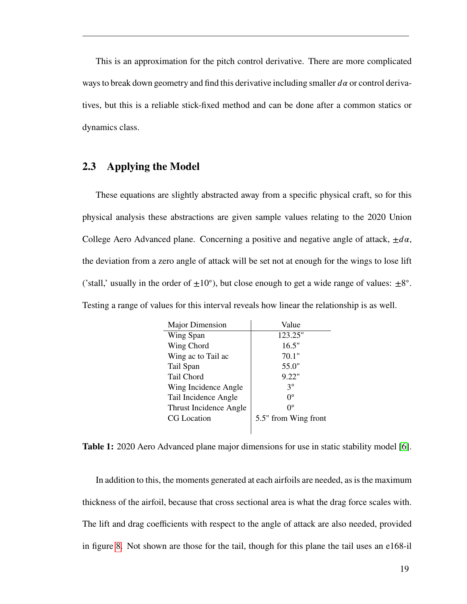This is an approximation for the pitch control derivative. There are more complicated ways to break down geometry and find this derivative including smaller  $d\alpha$  or control derivatives, but this is a reliable stick-fixed method and can be done after a common statics or dynamics class.

#### <span id="page-25-0"></span>**2.3 Applying the Model**

These equations are slightly abstracted away from a specific physical craft, so for this physical analysis these abstractions are given sample values relating to the 2020 Union College Aero Advanced plane. Concerning a positive and negative angle of attack,  $\pm d\alpha$ , the deviation from a zero angle of attack will be set not at enough for the wings to lose lift ('stall,' usually in the order of  $\pm 10^{\circ}$ ), but close enough to get a wide range of values:  $\pm 8^{\circ}$ . Testing a range of values for this interval reveals how linear the relationship is as well.

<span id="page-25-1"></span>

| Major Dimension        | Value                |
|------------------------|----------------------|
| Wing Span              | 123.25"              |
| Wing Chord             | 16.5"                |
| Wing ac to Tail ac     | 70.1"                |
| Tail Span              | 55.0"                |
| Tail Chord             | 9.22"                |
| Wing Incidence Angle   | ٩°                   |
| Tail Incidence Angle   | O°                   |
| Thrust Incidence Angle | O°                   |
| <b>CG</b> Location     | 5.5" from Wing front |
|                        |                      |

**Table 1:** 2020 Aero Advanced plane major dimensions for use in static stability model [\[6\]](#page-52-6).

In addition to this, the moments generated at each airfoils are needed, as is the maximum thickness of the airfoil, because that cross sectional area is what the drag force scales with. The lift and drag coefficients with respect to the angle of attack are also needed, provided in figure [8.](#page-26-0) Not shown are those for the tail, though for this plane the tail uses an e168-il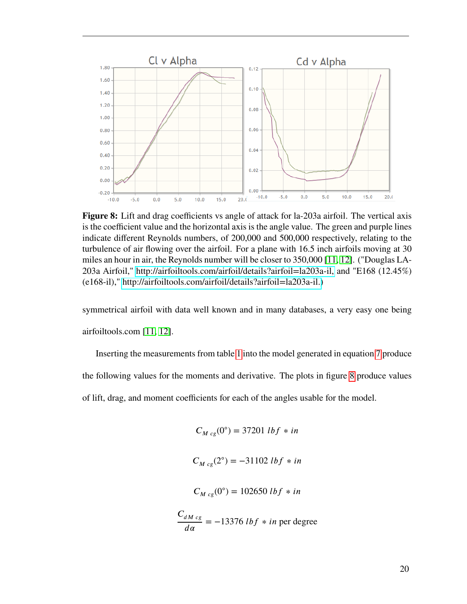<span id="page-26-0"></span>

**Figure 8:** Lift and drag coefficients vs angle of attack for la-203a airfoil. The vertical axis is the coefficient value and the horizontal axis is the angle value. The green and purple lines indicate different Reynolds numbers, of 200,000 and 500,000 respectively, relating to the turbulence of air flowing over the airfoil. For a plane with 16.5 inch airfoils moving at 30 miles an hour in air, the Reynolds number will be closer to 350,000 [\[11,](#page-52-11) [12\]](#page-52-12). ("Douglas LA-203a Airfoil," [http://airfoiltools.com/airfoil/details?airfoil=la203a-il,](http://airfoiltools.com/airfoil/details?airfoil=la203a-il) and "E168 (12.45%) (e168-il)," [http://airfoiltools.com/airfoil/details?airfoil=la203a-il.\)](http://airfoiltools.com/airfoil/details?airfoil=la203a-il)

symmetrical airfoil with data well known and in many databases, a very easy one being airfoiltools.com [\[11,](#page-52-11) [12\]](#page-52-12).

Inserting the measurements from table [1](#page-25-1) into the model generated in equation [7](#page-22-0) produce the following values for the moments and derivative. The plots in figure [8](#page-26-0) produce values of lift, drag, and moment coefficients for each of the angles usable for the model.

$$
C_{M \, cg}(0^{\circ}) = 37201 \, lbf * in
$$

$$
C_{M \, cg}(2^{\circ}) = -31102 \, lbf \, * \, in
$$

$$
C_{M \, cg}(0^{\circ}) = 102650 \, lbf \, * \, in
$$

$$
\frac{C_{dM \, cg}}{d\alpha} = -13376 \, lbf \ * in \, per \, degree
$$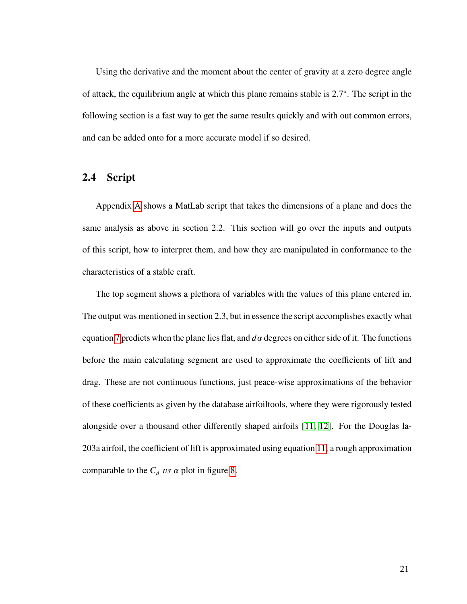Using the derivative and the moment about the center of gravity at a zero degree angle of attack, the equilibrium angle at which this plane remains stable is 2*.*7 ◦ . The script in the following section is a fast way to get the same results quickly and with out common errors, and can be added onto for a more accurate model if so desired.

#### <span id="page-27-0"></span>**2.4 Script**

Appendix [A](#page-54-0) shows a MatLab script that takes the dimensions of a plane and does the same analysis as above in section 2.2. This section will go over the inputs and outputs of this script, how to interpret them, and how they are manipulated in conformance to the characteristics of a stable craft.

The top segment shows a plethora of variables with the values of this plane entered in. The output was mentioned in section 2.3, but in essence the script accomplishes exactly what equation [7](#page-22-0) predicts when the plane lies flat, and  $d\alpha$  degrees on either side of it. The functions before the main calculating segment are used to approximate the coefficients of lift and drag. These are not continuous functions, just peace-wise approximations of the behavior of these coefficients as given by the database airfoiltools, where they were rigorously tested alongside over a thousand other differently shaped airfoils [\[11,](#page-52-11) [12\]](#page-52-12). For the Douglas la-203a airfoil, the coefficient of lift is approximated using equation [11,](#page-28-0) a rough approximation comparable to the  $C_d$  *vs*  $\alpha$  plot in figure [8.](#page-26-0)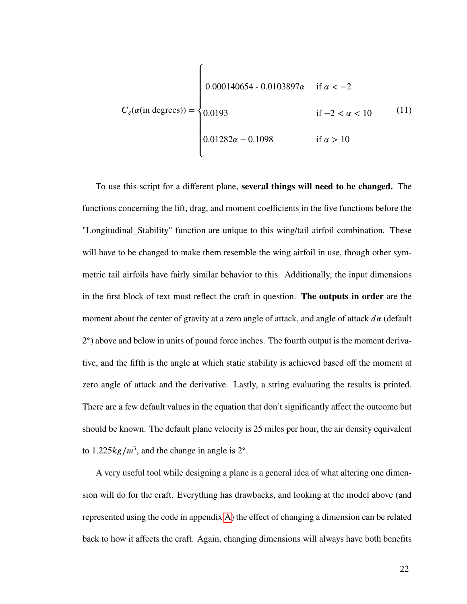<span id="page-28-0"></span>
$$
C_d(\alpha(\text{in degrees})) = \begin{cases} 0.000140654 - 0.0103897\alpha & \text{if } \alpha < -2\\ 0.0193 & \text{if } -2 < \alpha < 10\\ 0.01282\alpha - 0.1098 & \text{if } \alpha > 10 \end{cases}
$$
(11)

To use this script for a different plane, **several things will need to be changed.** The functions concerning the lift, drag, and moment coefficients in the five functions before the "Longitudinal\_Stability" function are unique to this wing/tail airfoil combination. These will have to be changed to make them resemble the wing airfoil in use, though other symmetric tail airfoils have fairly similar behavior to this. Additionally, the input dimensions in the first block of text must reflect the craft in question. **The outputs in order** are the moment about the center of gravity at a zero angle of attack, and angle of attack  $d\alpha$  (default 2 ◦ ) above and below in units of pound force inches. The fourth output is the moment derivative, and the fifth is the angle at which static stability is achieved based off the moment at zero angle of attack and the derivative. Lastly, a string evaluating the results is printed. There are a few default values in the equation that don't significantly affect the outcome but should be known. The default plane velocity is 25 miles per hour, the air density equivalent to  $1.225 \frac{kg}{m^3}$ , and the change in angle is 2°.

A very useful tool while designing a plane is a general idea of what altering one dimension will do for the craft. Everything has drawbacks, and looking at the model above (and represented using the code in appendix [A\)](#page-54-0) the effect of changing a dimension can be related back to how it affects the craft. Again, changing dimensions will always have both benefits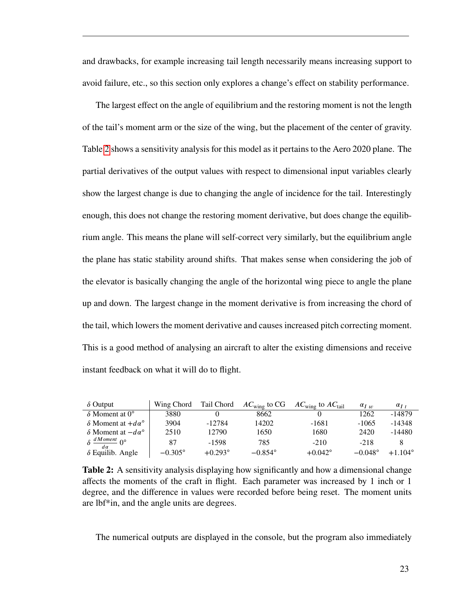and drawbacks, for example increasing tail length necessarily means increasing support to avoid failure, etc., so this section only explores a change's effect on stability performance.

The largest effect on the angle of equilibrium and the restoring moment is not the length of the tail's moment arm or the size of the wing, but the placement of the center of gravity. Table [2](#page-29-0) shows a sensitivity analysis for this model as it pertains to the Aero 2020 plane. The partial derivatives of the output values with respect to dimensional input variables clearly show the largest change is due to changing the angle of incidence for the tail. Interestingly enough, this does not change the restoring moment derivative, but does change the equilibrium angle. This means the plane will self-correct very similarly, but the equilibrium angle the plane has static stability around shifts. That makes sense when considering the job of the elevator is basically changing the angle of the horizontal wing piece to angle the plane up and down. The largest change in the moment derivative is from increasing the chord of the tail, which lowers the moment derivative and causes increased pitch correcting moment. This is a good method of analysing an aircraft to alter the existing dimensions and receive instant feedback on what it will do to flight.

<span id="page-29-0"></span>

| $\delta$ Output                             | Wing Chord       | Tail Chord | $AC_{\text{wing}}$ to CG | $AC_{\text{wing}}$ to $AC_{\text{tail}}$ | $\alpha_{L}$     | $\alpha_{I}$     |
|---------------------------------------------|------------------|------------|--------------------------|------------------------------------------|------------------|------------------|
| $\delta$ Moment at $0^{\circ}$              | 3880             |            | 8662                     |                                          | 1262             | $-14879$         |
| $\delta$ Moment at $+ d\alpha^{\circ}$      | 3904             | $-12784$   | 14202                    | -1681                                    | $-1065$          | $-14348$         |
| $\delta$ Moment at $-d\alpha^{\circ}$       | 2510             | 12790      | 1650                     | 1680                                     | 2420             | $-14480$         |
| $\delta \frac{dMoment}{dM}$ () <sup>o</sup> | 87               | $-1598$    | 785                      | $-210$                                   | $-218$           |                  |
| $\delta$ Equilib. Angle                     | $-0.305^{\circ}$ | $+0.293$ ° | $-0.854^{\circ}$         | $+0.042^{\circ}$                         | $-0.048^{\circ}$ | $+1.104^{\circ}$ |

**Table 2:** A sensitivity analysis displaying how significantly and how a dimensional change affects the moments of the craft in flight. Each parameter was increased by 1 inch or 1 degree, and the difference in values were recorded before being reset. The moment units are lbf\*in, and the angle units are degrees.

The numerical outputs are displayed in the console, but the program also immediately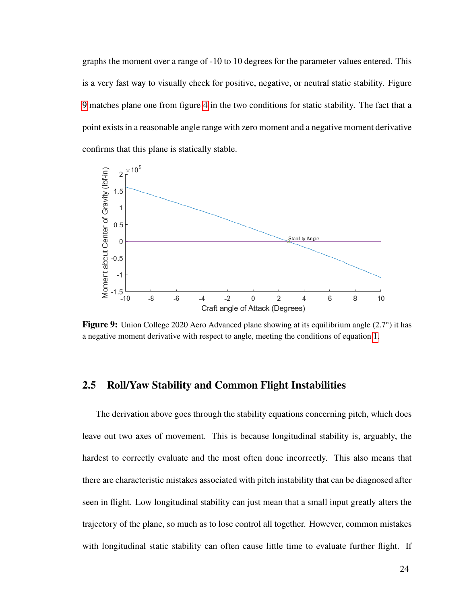graphs the moment over a range of -10 to 10 degrees for the parameter values entered. This is a very fast way to visually check for positive, negative, or neutral static stability. Figure [9](#page-30-1) matches plane one from figure [4](#page-16-0) in the two conditions for static stability. The fact that a point exists in a reasonable angle range with zero moment and a negative moment derivative confirms that this plane is statically stable.

<span id="page-30-1"></span>

Figure 9: Union College 2020 Aero Advanced plane showing at its equilibrium angle (2.7°) it has a negative moment derivative with respect to angle, meeting the conditions of equation [1.](#page-14-1)

#### <span id="page-30-0"></span>**2.5 Roll/Yaw Stability and Common Flight Instabilities**

The derivation above goes through the stability equations concerning pitch, which does leave out two axes of movement. This is because longitudinal stability is, arguably, the hardest to correctly evaluate and the most often done incorrectly. This also means that there are characteristic mistakes associated with pitch instability that can be diagnosed after seen in flight. Low longitudinal stability can just mean that a small input greatly alters the trajectory of the plane, so much as to lose control all together. However, common mistakes with longitudinal static stability can often cause little time to evaluate further flight. If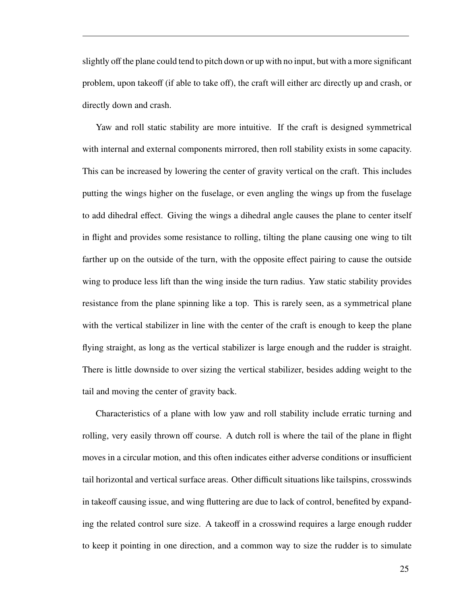slightly off the plane could tend to pitch down or up with no input, but with a more significant problem, upon takeoff (if able to take off), the craft will either arc directly up and crash, or directly down and crash.

Yaw and roll static stability are more intuitive. If the craft is designed symmetrical with internal and external components mirrored, then roll stability exists in some capacity. This can be increased by lowering the center of gravity vertical on the craft. This includes putting the wings higher on the fuselage, or even angling the wings up from the fuselage to add dihedral effect. Giving the wings a dihedral angle causes the plane to center itself in flight and provides some resistance to rolling, tilting the plane causing one wing to tilt farther up on the outside of the turn, with the opposite effect pairing to cause the outside wing to produce less lift than the wing inside the turn radius. Yaw static stability provides resistance from the plane spinning like a top. This is rarely seen, as a symmetrical plane with the vertical stabilizer in line with the center of the craft is enough to keep the plane flying straight, as long as the vertical stabilizer is large enough and the rudder is straight. There is little downside to over sizing the vertical stabilizer, besides adding weight to the tail and moving the center of gravity back.

Characteristics of a plane with low yaw and roll stability include erratic turning and rolling, very easily thrown off course. A dutch roll is where the tail of the plane in flight moves in a circular motion, and this often indicates either adverse conditions or insufficient tail horizontal and vertical surface areas. Other difficult situations like tailspins, crosswinds in takeoff causing issue, and wing fluttering are due to lack of control, benefited by expanding the related control sure size. A takeoff in a crosswind requires a large enough rudder to keep it pointing in one direction, and a common way to size the rudder is to simulate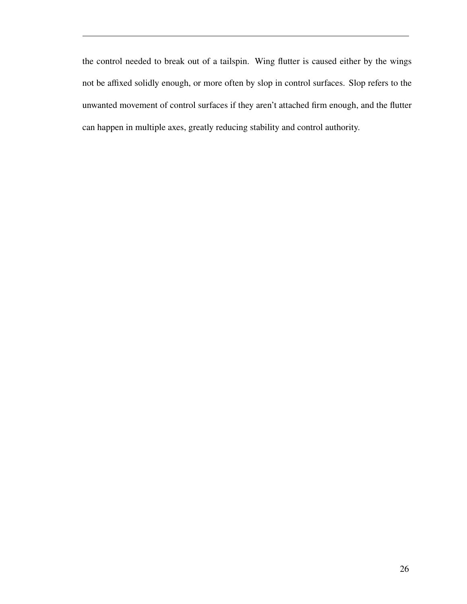the control needed to break out of a tailspin. Wing flutter is caused either by the wings not be affixed solidly enough, or more often by slop in control surfaces. Slop refers to the unwanted movement of control surfaces if they aren't attached firm enough, and the flutter can happen in multiple axes, greatly reducing stability and control authority.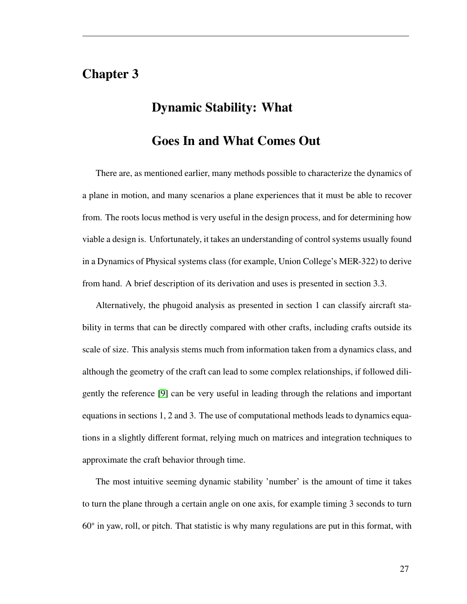# <span id="page-33-0"></span>**Chapter 3**

# **Dynamic Stability: What**

# **Goes In and What Comes Out**

There are, as mentioned earlier, many methods possible to characterize the dynamics of a plane in motion, and many scenarios a plane experiences that it must be able to recover from. The roots locus method is very useful in the design process, and for determining how viable a design is. Unfortunately, it takes an understanding of control systems usually found in a Dynamics of Physical systems class (for example, Union College's MER-322) to derive from hand. A brief description of its derivation and uses is presented in section 3.3.

Alternatively, the phugoid analysis as presented in section 1 can classify aircraft stability in terms that can be directly compared with other crafts, including crafts outside its scale of size. This analysis stems much from information taken from a dynamics class, and although the geometry of the craft can lead to some complex relationships, if followed diligently the reference [\[9\]](#page-52-9) can be very useful in leading through the relations and important equations in sections 1, 2 and 3. The use of computational methods leads to dynamics equations in a slightly different format, relying much on matrices and integration techniques to approximate the craft behavior through time.

The most intuitive seeming dynamic stability 'number' is the amount of time it takes to turn the plane through a certain angle on one axis, for example timing 3 seconds to turn 60◦ in yaw, roll, or pitch. That statistic is why many regulations are put in this format, with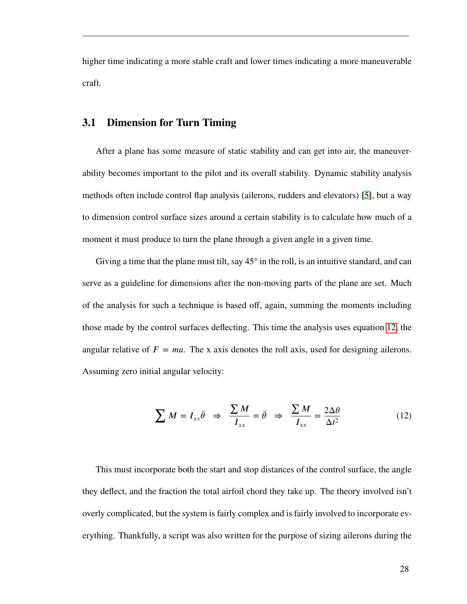<span id="page-34-0"></span>higher time indicating a more stable craft and lower times indicating a more maneuverable craft.

#### **3.1 Dimension for Turn Timing**

After a plane has some measure of static stability and can get into air, the maneuverability becomes important to the pilot and its overall stability. Dynamic stability analysis methods often include control flap analysis (ailerons, rudders and elevators) [\[5\]](#page-52-5), but a way to dimension control surface sizes around a certain stability is to calculate how much of a moment it must produce to turn the plane through a given angle in a given time.

Giving a time that the plane must tilt, say 45° in the roll, is an intuitive standard, and can serve as a guideline for dimensions after the non-moving parts of the plane are set. Much of the analysis for such a technique is based off, again, summing the moments including those made by the control surfaces deflecting. This time the analysis uses equation [12,](#page-34-1) the angular relative of  $F = ma$ . The x axis denotes the roll axis, used for designing ailerons. Assuming zero initial angular velocity:

<span id="page-34-1"></span>
$$
\sum M = I_{xx} \ddot{\theta} \Rightarrow \frac{\sum M}{I_{xx}} = \ddot{\theta} \Rightarrow \frac{\sum M}{I_{xx}} = \frac{2\Delta\theta}{\Delta t^2}
$$
(12)

This must incorporate both the start and stop distances of the control surface, the angle they deflect, and the fraction the total airfoil chord they take up. The theory involved isn't overly complicated, but the system is fairly complex and is fairly involved to incorporate everything. Thankfully, a script was also written for the purpose of sizing ailerons during the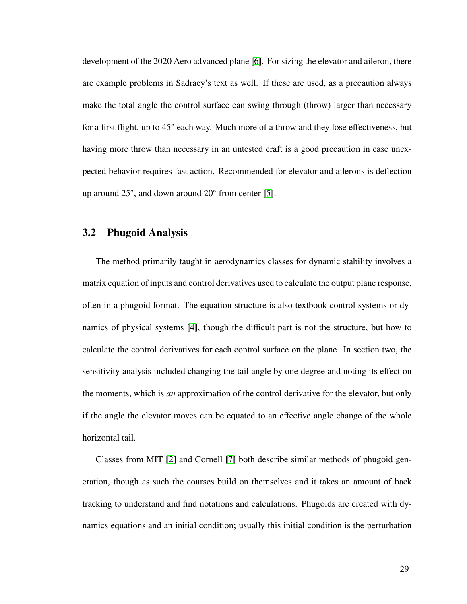development of the 2020 Aero advanced plane [\[6\]](#page-52-6). For sizing the elevator and aileron, there are example problems in Sadraey's text as well. If these are used, as a precaution always make the total angle the control surface can swing through (throw) larger than necessary for a first flight, up to 45° each way. Much more of a throw and they lose effectiveness, but having more throw than necessary in an untested craft is a good precaution in case unexpected behavior requires fast action. Recommended for elevator and ailerons is deflection up around 25◦ , and down around 20◦ from center [\[5\]](#page-52-5).

#### <span id="page-35-0"></span>**3.2 Phugoid Analysis**

The method primarily taught in aerodynamics classes for dynamic stability involves a matrix equation of inputs and control derivatives used to calculate the output plane response, often in a phugoid format. The equation structure is also textbook control systems or dynamics of physical systems [\[4\]](#page-52-4), though the difficult part is not the structure, but how to calculate the control derivatives for each control surface on the plane. In section two, the sensitivity analysis included changing the tail angle by one degree and noting its effect on the moments, which is *an* approximation of the control derivative for the elevator, but only if the angle the elevator moves can be equated to an effective angle change of the whole horizontal tail.

Classes from MIT [\[2\]](#page-52-2) and Cornell [\[7\]](#page-52-7) both describe similar methods of phugoid generation, though as such the courses build on themselves and it takes an amount of back tracking to understand and find notations and calculations. Phugoids are created with dynamics equations and an initial condition; usually this initial condition is the perturbation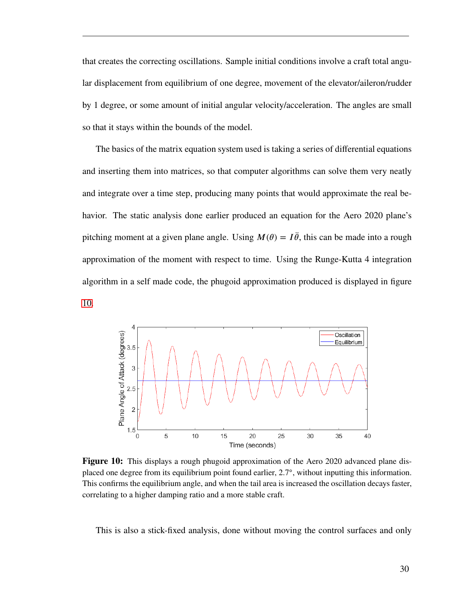that creates the correcting oscillations. Sample initial conditions involve a craft total angular displacement from equilibrium of one degree, movement of the elevator/aileron/rudder by 1 degree, or some amount of initial angular velocity/acceleration. The angles are small so that it stays within the bounds of the model.

The basics of the matrix equation system used is taking a series of differential equations and inserting them into matrices, so that computer algorithms can solve them very neatly and integrate over a time step, producing many points that would approximate the real behavior. The static analysis done earlier produced an equation for the Aero 2020 plane's pitching moment at a given plane angle. Using  $M(\theta) = I\ddot{\theta}$ , this can be made into a rough approximation of the moment with respect to time. Using the Runge-Kutta 4 integration algorithm in a self made code, the phugoid approximation produced is displayed in figure [10.](#page-36-0)

<span id="page-36-0"></span>

**Figure 10:** This displays a rough phugoid approximation of the Aero 2020 advanced plane displaced one degree from its equilibrium point found earlier, 2.7°, without inputting this information. This confirms the equilibrium angle, and when the tail area is increased the oscillation decays faster, correlating to a higher damping ratio and a more stable craft.

This is also a stick-fixed analysis, done without moving the control surfaces and only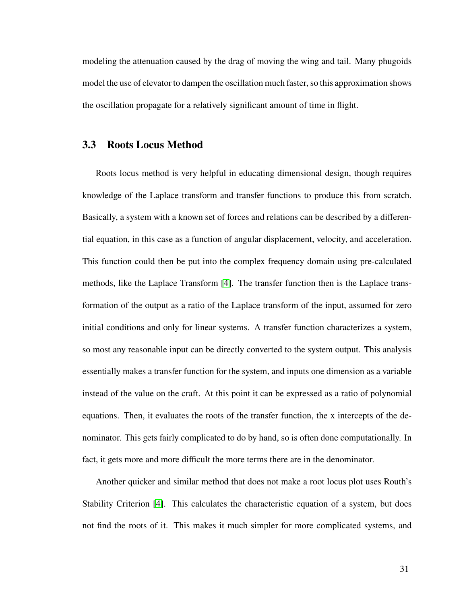modeling the attenuation caused by the drag of moving the wing and tail. Many phugoids model the use of elevator to dampen the oscillation much faster, so this approximation shows the oscillation propagate for a relatively significant amount of time in flight.

#### <span id="page-37-0"></span>**3.3 Roots Locus Method**

Roots locus method is very helpful in educating dimensional design, though requires knowledge of the Laplace transform and transfer functions to produce this from scratch. Basically, a system with a known set of forces and relations can be described by a differential equation, in this case as a function of angular displacement, velocity, and acceleration. This function could then be put into the complex frequency domain using pre-calculated methods, like the Laplace Transform [\[4\]](#page-52-4). The transfer function then is the Laplace transformation of the output as a ratio of the Laplace transform of the input, assumed for zero initial conditions and only for linear systems. A transfer function characterizes a system, so most any reasonable input can be directly converted to the system output. This analysis essentially makes a transfer function for the system, and inputs one dimension as a variable instead of the value on the craft. At this point it can be expressed as a ratio of polynomial equations. Then, it evaluates the roots of the transfer function, the x intercepts of the denominator. This gets fairly complicated to do by hand, so is often done computationally. In fact, it gets more and more difficult the more terms there are in the denominator.

Another quicker and similar method that does not make a root locus plot uses Routh's Stability Criterion [\[4\]](#page-52-4). This calculates the characteristic equation of a system, but does not find the roots of it. This makes it much simpler for more complicated systems, and

31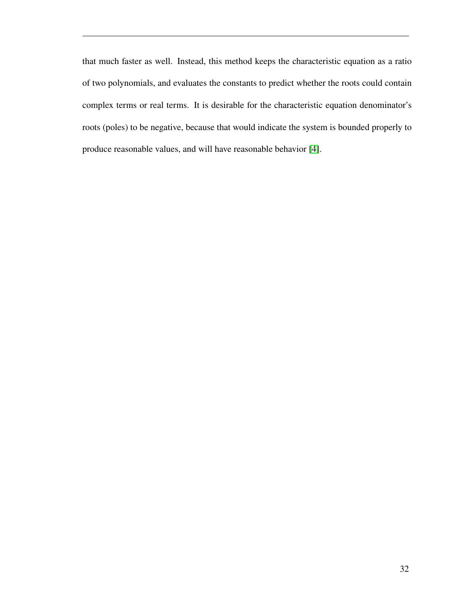that much faster as well. Instead, this method keeps the characteristic equation as a ratio of two polynomials, and evaluates the constants to predict whether the roots could contain complex terms or real terms. It is desirable for the characteristic equation denominator's roots (poles) to be negative, because that would indicate the system is bounded properly to produce reasonable values, and will have reasonable behavior [\[4\]](#page-52-4).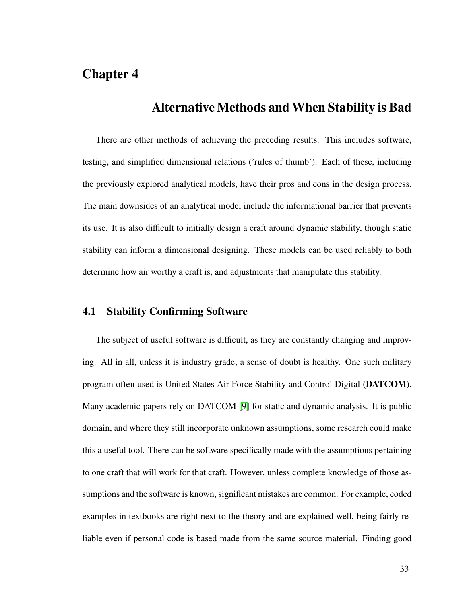# <span id="page-39-0"></span>**Chapter 4**

## **Alternative Methods and When Stability is Bad**

There are other methods of achieving the preceding results. This includes software, testing, and simplified dimensional relations ('rules of thumb'). Each of these, including the previously explored analytical models, have their pros and cons in the design process. The main downsides of an analytical model include the informational barrier that prevents its use. It is also difficult to initially design a craft around dynamic stability, though static stability can inform a dimensional designing. These models can be used reliably to both determine how air worthy a craft is, and adjustments that manipulate this stability.

#### <span id="page-39-1"></span>**4.1 Stability Confirming Software**

The subject of useful software is difficult, as they are constantly changing and improving. All in all, unless it is industry grade, a sense of doubt is healthy. One such military program often used is United States Air Force Stability and Control Digital (**DATCOM**). Many academic papers rely on DATCOM [\[9\]](#page-52-9) for static and dynamic analysis. It is public domain, and where they still incorporate unknown assumptions, some research could make this a useful tool. There can be software specifically made with the assumptions pertaining to one craft that will work for that craft. However, unless complete knowledge of those assumptions and the software is known, significant mistakes are common. For example, coded examples in textbooks are right next to the theory and are explained well, being fairly reliable even if personal code is based made from the same source material. Finding good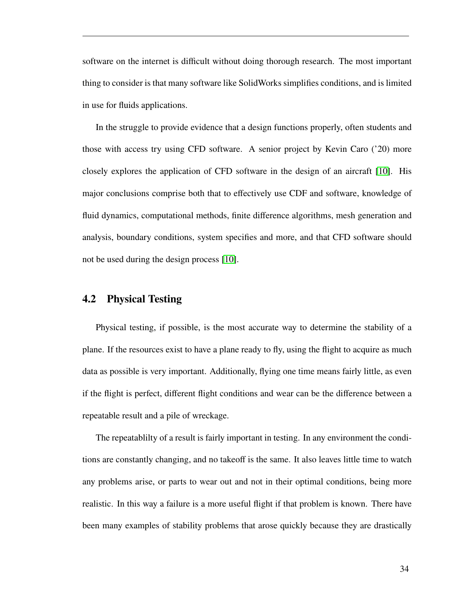software on the internet is difficult without doing thorough research. The most important thing to consider is that many software like SolidWorks simplifies conditions, and is limited in use for fluids applications.

In the struggle to provide evidence that a design functions properly, often students and those with access try using CFD software. A senior project by Kevin Caro ('20) more closely explores the application of CFD software in the design of an aircraft [\[10\]](#page-52-10). His major conclusions comprise both that to effectively use CDF and software, knowledge of fluid dynamics, computational methods, finite difference algorithms, mesh generation and analysis, boundary conditions, system specifies and more, and that CFD software should not be used during the design process [\[10\]](#page-52-10).

#### <span id="page-40-0"></span>**4.2 Physical Testing**

Physical testing, if possible, is the most accurate way to determine the stability of a plane. If the resources exist to have a plane ready to fly, using the flight to acquire as much data as possible is very important. Additionally, flying one time means fairly little, as even if the flight is perfect, different flight conditions and wear can be the difference between a repeatable result and a pile of wreckage.

The repeatablilty of a result is fairly important in testing. In any environment the conditions are constantly changing, and no takeoff is the same. It also leaves little time to watch any problems arise, or parts to wear out and not in their optimal conditions, being more realistic. In this way a failure is a more useful flight if that problem is known. There have been many examples of stability problems that arose quickly because they are drastically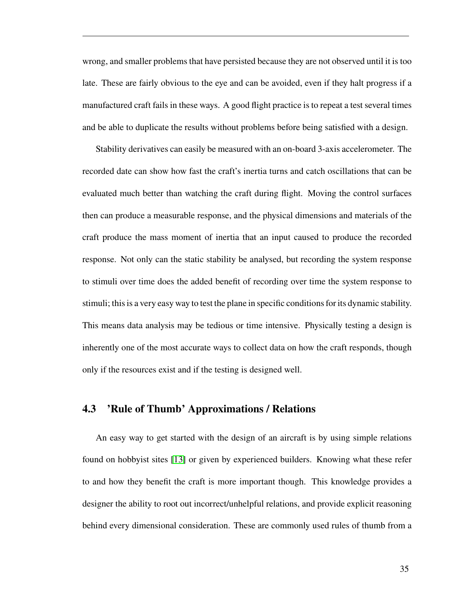wrong, and smaller problems that have persisted because they are not observed until it is too late. These are fairly obvious to the eye and can be avoided, even if they halt progress if a manufactured craft fails in these ways. A good flight practice is to repeat a test several times and be able to duplicate the results without problems before being satisfied with a design.

Stability derivatives can easily be measured with an on-board 3-axis accelerometer. The recorded date can show how fast the craft's inertia turns and catch oscillations that can be evaluated much better than watching the craft during flight. Moving the control surfaces then can produce a measurable response, and the physical dimensions and materials of the craft produce the mass moment of inertia that an input caused to produce the recorded response. Not only can the static stability be analysed, but recording the system response to stimuli over time does the added benefit of recording over time the system response to stimuli; this is a very easy way to test the plane in specific conditions for its dynamic stability. This means data analysis may be tedious or time intensive. Physically testing a design is inherently one of the most accurate ways to collect data on how the craft responds, though only if the resources exist and if the testing is designed well.

#### <span id="page-41-0"></span>**4.3 'Rule of Thumb' Approximations / Relations**

An easy way to get started with the design of an aircraft is by using simple relations found on hobbyist sites [\[13\]](#page-52-13) or given by experienced builders. Knowing what these refer to and how they benefit the craft is more important though. This knowledge provides a designer the ability to root out incorrect/unhelpful relations, and provide explicit reasoning behind every dimensional consideration. These are commonly used rules of thumb from a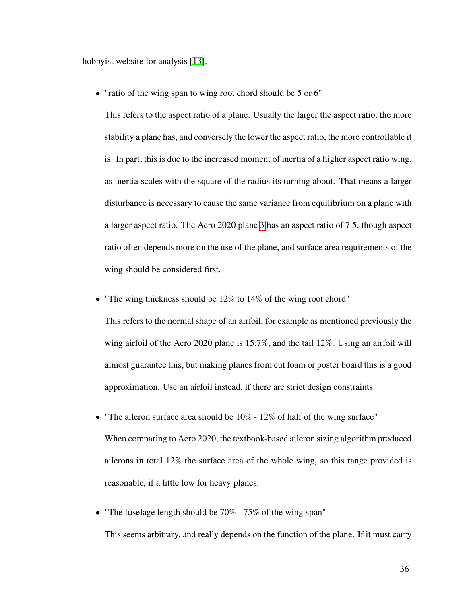hobbyist website for analysis [\[13\]](#page-52-13).

• "ratio of the wing span to wing root chord should be 5 or 6"

This refers to the aspect ratio of a plane. Usually the larger the aspect ratio, the more stability a plane has, and conversely the lower the aspect ratio, the more controllable it is. In part, this is due to the increased moment of inertia of a higher aspect ratio wing, as inertia scales with the square of the radius its turning about. That means a larger disturbance is necessary to cause the same variance from equilibrium on a plane with a larger aspect ratio. The Aero 2020 plane [3](#page-14-0) has an aspect ratio of 7.5, though aspect ratio often depends more on the use of the plane, and surface area requirements of the wing should be considered first.

• "The wing thickness should be 12% to 14% of the wing root chord"

This refers to the normal shape of an airfoil, for example as mentioned previously the wing airfoil of the Aero 2020 plane is 15*.*7%, and the tail 12%. Using an airfoil will almost guarantee this, but making planes from cut foam or poster board this is a good approximation. Use an airfoil instead, if there are strict design constraints.

- "The aileron surface area should be 10% 12% of half of the wing surface" When comparing to Aero 2020, the textbook-based aileron sizing algorithm produced ailerons in total 12% the surface area of the whole wing, so this range provided is reasonable, if a little low for heavy planes.
- "The fuselage length should be 70% 75% of the wing span" This seems arbitrary, and really depends on the function of the plane. If it must carry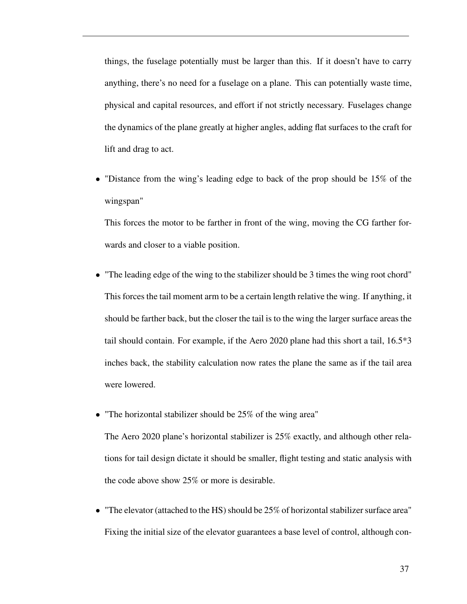things, the fuselage potentially must be larger than this. If it doesn't have to carry anything, there's no need for a fuselage on a plane. This can potentially waste time, physical and capital resources, and effort if not strictly necessary. Fuselages change the dynamics of the plane greatly at higher angles, adding flat surfaces to the craft for lift and drag to act.

• "Distance from the wing's leading edge to back of the prop should be 15% of the wingspan"

This forces the motor to be farther in front of the wing, moving the CG farther forwards and closer to a viable position.

- "The leading edge of the wing to the stabilizer should be 3 times the wing root chord" This forces the tail moment arm to be a certain length relative the wing. If anything, it should be farther back, but the closer the tail is to the wing the larger surface areas the tail should contain. For example, if the Aero 2020 plane had this short a tail, 16.5\*3 inches back, the stability calculation now rates the plane the same as if the tail area were lowered.
- "The horizontal stabilizer should be 25% of the wing area"

The Aero 2020 plane's horizontal stabilizer is 25% exactly, and although other relations for tail design dictate it should be smaller, flight testing and static analysis with the code above show 25% or more is desirable.

• "The elevator (attached to the HS) should be 25% of horizontal stabilizer surface area" Fixing the initial size of the elevator guarantees a base level of control, although con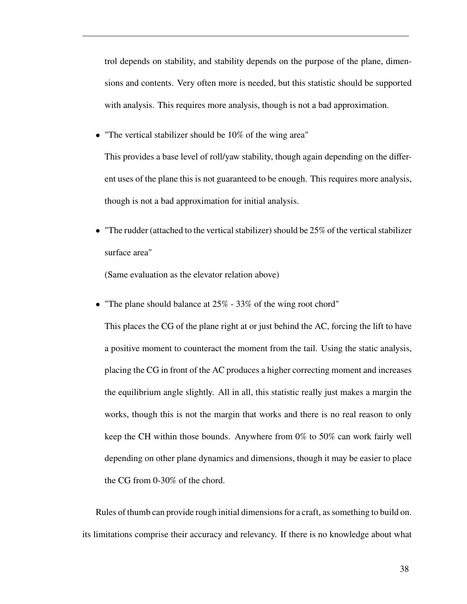trol depends on stability, and stability depends on the purpose of the plane, dimensions and contents. Very often more is needed, but this statistic should be supported with analysis. This requires more analysis, though is not a bad approximation.

• "The vertical stabilizer should be 10% of the wing area"

This provides a base level of roll/yaw stability, though again depending on the different uses of the plane this is not guaranteed to be enough. This requires more analysis, though is not a bad approximation for initial analysis.

• "The rudder (attached to the vertical stabilizer) should be 25% of the vertical stabilizer surface area"

(Same evaluation as the elevator relation above)

• "The plane should balance at 25% - 33% of the wing root chord"

This places the CG of the plane right at or just behind the AC, forcing the lift to have a positive moment to counteract the moment from the tail. Using the static analysis, placing the CG in front of the AC produces a higher correcting moment and increases the equilibrium angle slightly. All in all, this statistic really just makes a margin the works, though this is not the margin that works and there is no real reason to only keep the CH within those bounds. Anywhere from 0% to 50% can work fairly well depending on other plane dynamics and dimensions, though it may be easier to place the CG from 0-30% of the chord.

Rules of thumb can provide rough initial dimensions for a craft, as something to build on. its limitations comprise their accuracy and relevancy. If there is no knowledge about what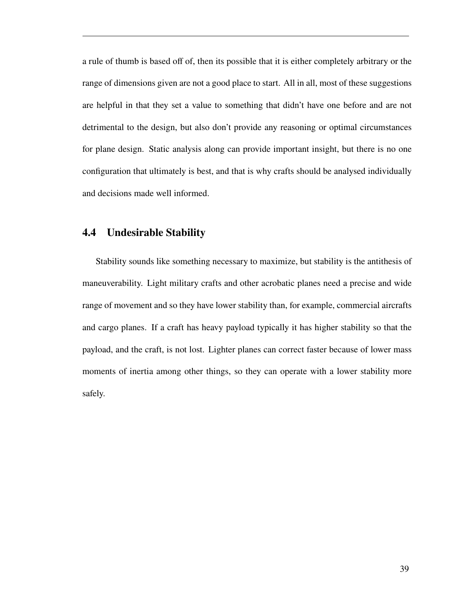a rule of thumb is based off of, then its possible that it is either completely arbitrary or the range of dimensions given are not a good place to start. All in all, most of these suggestions are helpful in that they set a value to something that didn't have one before and are not detrimental to the design, but also don't provide any reasoning or optimal circumstances for plane design. Static analysis along can provide important insight, but there is no one configuration that ultimately is best, and that is why crafts should be analysed individually and decisions made well informed.

## <span id="page-45-0"></span>**4.4 Undesirable Stability**

Stability sounds like something necessary to maximize, but stability is the antithesis of maneuverability. Light military crafts and other acrobatic planes need a precise and wide range of movement and so they have lower stability than, for example, commercial aircrafts and cargo planes. If a craft has heavy payload typically it has higher stability so that the payload, and the craft, is not lost. Lighter planes can correct faster because of lower mass moments of inertia among other things, so they can operate with a lower stability more safely.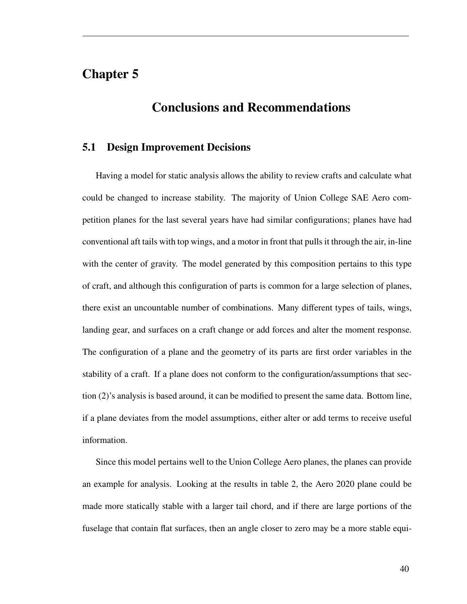# <span id="page-46-0"></span>**Chapter 5**

# **Conclusions and Recommendations**

#### <span id="page-46-1"></span>**5.1 Design Improvement Decisions**

Having a model for static analysis allows the ability to review crafts and calculate what could be changed to increase stability. The majority of Union College SAE Aero competition planes for the last several years have had similar configurations; planes have had conventional aft tails with top wings, and a motor in front that pulls it through the air, in-line with the center of gravity. The model generated by this composition pertains to this type of craft, and although this configuration of parts is common for a large selection of planes, there exist an uncountable number of combinations. Many different types of tails, wings, landing gear, and surfaces on a craft change or add forces and alter the moment response. The configuration of a plane and the geometry of its parts are first order variables in the stability of a craft. If a plane does not conform to the configuration/assumptions that section (2)'s analysis is based around, it can be modified to present the same data. Bottom line, if a plane deviates from the model assumptions, either alter or add terms to receive useful information.

Since this model pertains well to the Union College Aero planes, the planes can provide an example for analysis. Looking at the results in table 2, the Aero 2020 plane could be made more statically stable with a larger tail chord, and if there are large portions of the fuselage that contain flat surfaces, then an angle closer to zero may be a more stable equi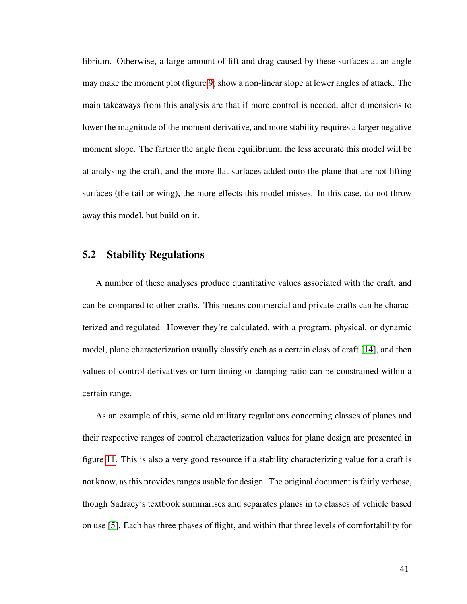librium. Otherwise, a large amount of lift and drag caused by these surfaces at an angle may make the moment plot (figure [9\)](#page-30-1) show a non-linear slope at lower angles of attack. The main takeaways from this analysis are that if more control is needed, alter dimensions to lower the magnitude of the moment derivative, and more stability requires a larger negative moment slope. The farther the angle from equilibrium, the less accurate this model will be at analysing the craft, and the more flat surfaces added onto the plane that are not lifting surfaces (the tail or wing), the more effects this model misses. In this case, do not throw away this model, but build on it.

#### <span id="page-47-0"></span>**5.2 Stability Regulations**

A number of these analyses produce quantitative values associated with the craft, and can be compared to other crafts. This means commercial and private crafts can be characterized and regulated. However they're calculated, with a program, physical, or dynamic model, plane characterization usually classify each as a certain class of craft [\[14\]](#page-52-14), and then values of control derivatives or turn timing or damping ratio can be constrained within a certain range.

As an example of this, some old military regulations concerning classes of planes and their respective ranges of control characterization values for plane design are presented in figure [11.](#page-48-0) This is also a very good resource if a stability characterizing value for a craft is not know, as this provides ranges usable for design. The original document is fairly verbose, though Sadraey's textbook summarises and separates planes in to classes of vehicle based on use [\[5\]](#page-52-5). Each has three phases of flight, and within that three levels of comfortability for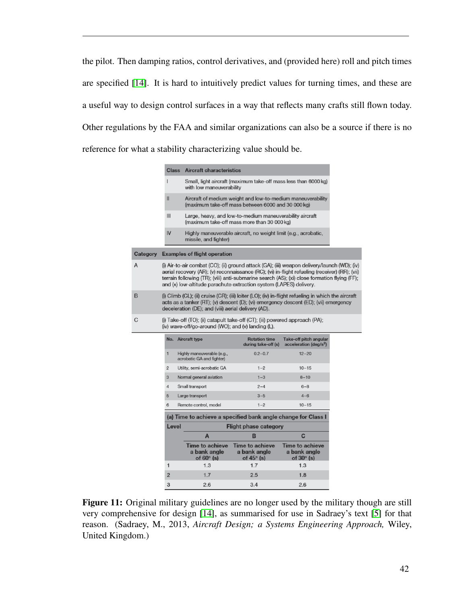the pilot. Then damping ratios, control derivatives, and (provided here) roll and pitch times are specified [\[14\]](#page-52-14). It is hard to intuitively predict values for turning times, and these are a useful way to design control surfaces in a way that reflects many crafts still flown today. Other regulations by the FAA and similar organizations can also be a source if there is no reference for what a stability characterizing value should be.

<span id="page-48-0"></span>

|          | <b>Aircraft characteristics</b><br><b>Class</b>                                                                                                                                                                                                                                                                                                                      |                                     |                                                             |                                                                 |                                                              |  |  |  |
|----------|----------------------------------------------------------------------------------------------------------------------------------------------------------------------------------------------------------------------------------------------------------------------------------------------------------------------------------------------------------------------|-------------------------------------|-------------------------------------------------------------|-----------------------------------------------------------------|--------------------------------------------------------------|--|--|--|
|          | L                                                                                                                                                                                                                                                                                                                                                                    |                                     |                                                             |                                                                 |                                                              |  |  |  |
|          | Aircraft of medium weight and low-to-medium maneuverability<br>Ш<br>(maximum take-off mass between 6000 and 30 000 kg)                                                                                                                                                                                                                                               |                                     |                                                             |                                                                 |                                                              |  |  |  |
|          | Ш<br>Large, heavy, and low-to-medium maneuverability aircraft<br>(maximum take-off mass more than 30 000 kg)                                                                                                                                                                                                                                                         |                                     |                                                             |                                                                 |                                                              |  |  |  |
|          | IV                                                                                                                                                                                                                                                                                                                                                                   |                                     | missile, and fighter)                                       | Highly maneuverable aircraft, no weight limit (e.g., acrobatic, |                                                              |  |  |  |
| Category |                                                                                                                                                                                                                                                                                                                                                                      | <b>Examples of flight operation</b> |                                                             |                                                                 |                                                              |  |  |  |
| A        | (i) Air-to-air combat (CO); (ii) ground attack (GA); (iii) weapon delivery/launch (WD); (iv)<br>aerial recovery (AR); (v) reconnaissance (RC); (vi) in-flight refueling (receiver) (RR); (vii)<br>terrain following (TR); (viii) anti-submarine search (AS); (xi) close formation flying (FF);<br>and (x) low-altitude parachute extraction system (LAPES) delivery. |                                     |                                                             |                                                                 |                                                              |  |  |  |
| B        | (i) Climb (CL); (ii) cruise (CR); (iii) loiter (LO); (iv) in-flight refueling in which the aircraft<br>acts as a tanker (RT); (v) descent (D); (vi) emergency descent (ED); (vii) emergency<br>deceleration (DE); and (viii) aerial delivery (AD).                                                                                                                   |                                     |                                                             |                                                                 |                                                              |  |  |  |
| C        | (i) Take-off (TO); (ii) catapult take-off (CT); (iii) powered approach (PA);<br>(iv) wave-off/go-around (WO); and (v) landing $(L)$ .                                                                                                                                                                                                                                |                                     |                                                             |                                                                 |                                                              |  |  |  |
|          |                                                                                                                                                                                                                                                                                                                                                                      |                                     | No. Aircraft type                                           | <b>Rotation time</b><br>during take-off (s)                     | Take-off pitch angular<br>acceleration (deg/s <sup>2</sup> ) |  |  |  |
|          | 1                                                                                                                                                                                                                                                                                                                                                                    |                                     | Highly maneuverable (e.g.,<br>acrobatic GA and fighter)     | $0.2 - 0.7$                                                     | $12 - 20$                                                    |  |  |  |
|          | $\overline{2}$                                                                                                                                                                                                                                                                                                                                                       |                                     | Utility, semi-acrobatic GA                                  | $1 - 2$                                                         | $10 - 15$                                                    |  |  |  |
|          | 3                                                                                                                                                                                                                                                                                                                                                                    |                                     | Normal general aviation                                     | $1 - 3$                                                         | $8 - 10$                                                     |  |  |  |
|          | 4                                                                                                                                                                                                                                                                                                                                                                    |                                     | Small transport                                             | $2 - 4$                                                         | $6 - 8$                                                      |  |  |  |
|          | 5                                                                                                                                                                                                                                                                                                                                                                    |                                     | Large transport                                             | $3 - 5$                                                         | $4 - 6$                                                      |  |  |  |
| 6        |                                                                                                                                                                                                                                                                                                                                                                      |                                     | Remote control, model                                       | $1 - 2$                                                         | $10 - 15$                                                    |  |  |  |
|          | (a) Time to achieve a specified bank angle change for Class I                                                                                                                                                                                                                                                                                                        |                                     |                                                             |                                                                 |                                                              |  |  |  |
|          | Level                                                                                                                                                                                                                                                                                                                                                                |                                     |                                                             |                                                                 |                                                              |  |  |  |
|          |                                                                                                                                                                                                                                                                                                                                                                      |                                     | A                                                           | B                                                               | C                                                            |  |  |  |
|          |                                                                                                                                                                                                                                                                                                                                                                      |                                     | <b>Time to achieve</b><br>a bank angle<br>of $60^\circ$ (s) | <b>Time to achieve</b><br>a bank angle<br>of $45^\circ$ (s)     | <b>Time to achieve</b><br>a bank angle<br>of $30^\circ$ (s)  |  |  |  |
|          | 1                                                                                                                                                                                                                                                                                                                                                                    |                                     | 1.3                                                         | 1.7                                                             | 1.3                                                          |  |  |  |
|          | 2                                                                                                                                                                                                                                                                                                                                                                    |                                     | 1.7                                                         | 2.5                                                             | 1.8                                                          |  |  |  |
|          | $\overline{\mathbf{3}}$                                                                                                                                                                                                                                                                                                                                              |                                     | 26                                                          | 34                                                              | 26                                                           |  |  |  |

**Figure 11:** Original military guidelines are no longer used by the military though are still very comprehensive for design [\[14\]](#page-52-14), as summarised for use in Sadraey's text [\[5\]](#page-52-5) for that reason. (Sadraey, M., 2013, *Aircraft Design; a Systems Engineering Approach,* Wiley, United Kingdom.)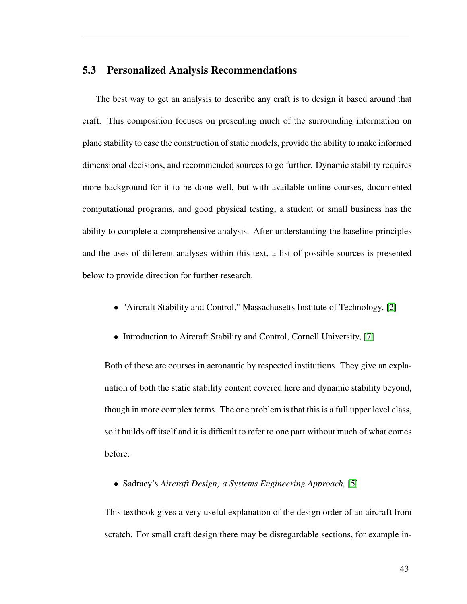#### <span id="page-49-0"></span>**5.3 Personalized Analysis Recommendations**

The best way to get an analysis to describe any craft is to design it based around that craft. This composition focuses on presenting much of the surrounding information on plane stability to ease the construction of static models, provide the ability to make informed dimensional decisions, and recommended sources to go further. Dynamic stability requires more background for it to be done well, but with available online courses, documented computational programs, and good physical testing, a student or small business has the ability to complete a comprehensive analysis. After understanding the baseline principles and the uses of different analyses within this text, a list of possible sources is presented below to provide direction for further research.

- "Aircraft Stability and Control," Massachusetts Institute of Technology, [\[2\]](#page-52-2)
- Introduction to Aircraft Stability and Control, Cornell University, [\[7\]](#page-52-7)

Both of these are courses in aeronautic by respected institutions. They give an explanation of both the static stability content covered here and dynamic stability beyond, though in more complex terms. The one problem is that this is a full upper level class, so it builds off itself and it is difficult to refer to one part without much of what comes before.

• Sadraey's *Aircraft Design; a Systems Engineering Approach,* [\[5\]](#page-52-5)

This textbook gives a very useful explanation of the design order of an aircraft from scratch. For small craft design there may be disregardable sections, for example in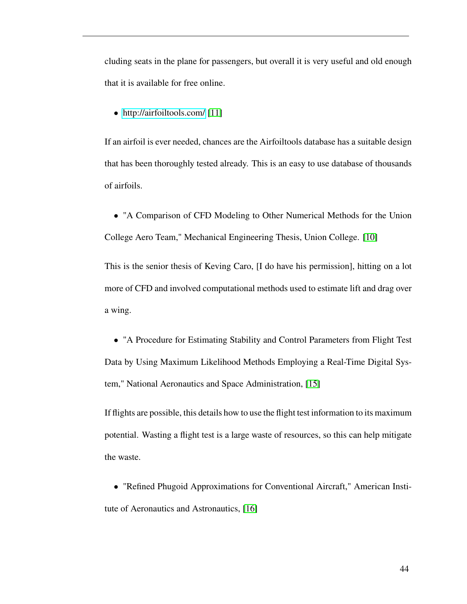cluding seats in the plane for passengers, but overall it is very useful and old enough that it is available for free online.

• <http://airfoiltools.com/> [\[11\]](#page-52-11)

If an airfoil is ever needed, chances are the Airfoiltools database has a suitable design that has been thoroughly tested already. This is an easy to use database of thousands of airfoils.

• "A Comparison of CFD Modeling to Other Numerical Methods for the Union College Aero Team," Mechanical Engineering Thesis, Union College. [\[10\]](#page-52-10)

This is the senior thesis of Keving Caro, [I do have his permission], hitting on a lot more of CFD and involved computational methods used to estimate lift and drag over a wing.

• "A Procedure for Estimating Stability and Control Parameters from Flight Test Data by Using Maximum Likelihood Methods Employing a Real-Time Digital System," National Aeronautics and Space Administration, [\[15\]](#page-52-15)

If flights are possible, this details how to use the flight test information to its maximum potential. Wasting a flight test is a large waste of resources, so this can help mitigate the waste.

• "Refined Phugoid Approximations for Conventional Aircraft," American Institute of Aeronautics and Astronautics, [\[16\]](#page-53-0)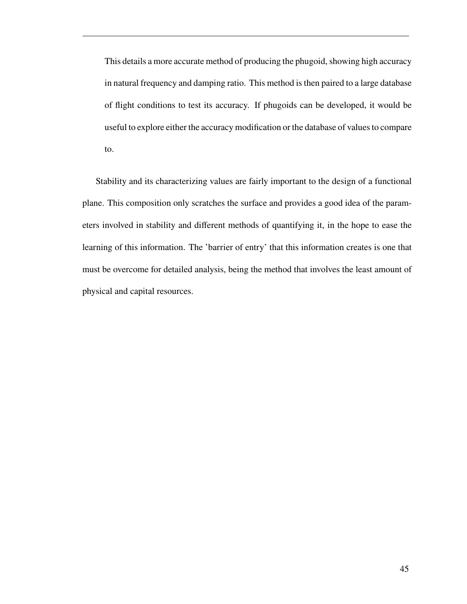This details a more accurate method of producing the phugoid, showing high accuracy in natural frequency and damping ratio. This method is then paired to a large database of flight conditions to test its accuracy. If phugoids can be developed, it would be useful to explore either the accuracy modification or the database of values to compare to.

Stability and its characterizing values are fairly important to the design of a functional plane. This composition only scratches the surface and provides a good idea of the parameters involved in stability and different methods of quantifying it, in the hope to ease the learning of this information. The 'barrier of entry' that this information creates is one that must be overcome for detailed analysis, being the method that involves the least amount of physical and capital resources.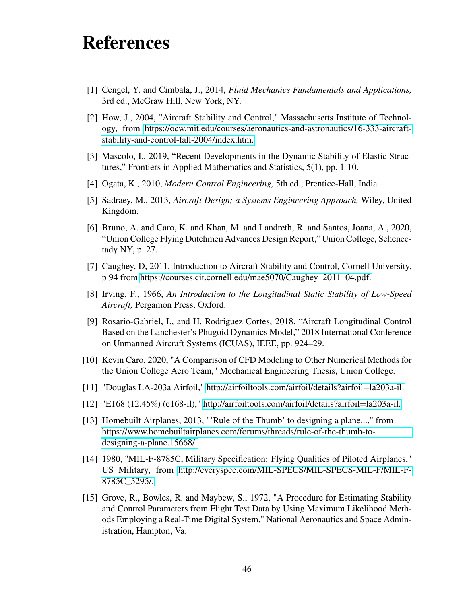# <span id="page-52-0"></span>**References**

- <span id="page-52-1"></span>[1] Cengel, Y. and Cimbala, J., 2014, *Fluid Mechanics Fundamentals and Applications,* 3rd ed., McGraw Hill, New York, NY.
- <span id="page-52-2"></span>[2] How, J., 2004, "Aircraft Stability and Control," Massachusetts Institute of Technology, from [https://ocw.mit.edu/courses/aeronautics-and-astronautics/16-333-aircraft](https://ocw.mit.edu/courses/aeronautics-and-astronautics/16-333-aircraft-stability-and-control-fall-2004/index.htm)[stability-and-control-fall-2004/index.htm.](https://ocw.mit.edu/courses/aeronautics-and-astronautics/16-333-aircraft-stability-and-control-fall-2004/index.htm)
- <span id="page-52-3"></span>[3] Mascolo, I., 2019, "Recent Developments in the Dynamic Stability of Elastic Structures," Frontiers in Applied Mathematics and Statistics, 5(1), pp. 1-10.
- <span id="page-52-5"></span><span id="page-52-4"></span>[4] Ogata, K., 2010, *Modern Control Engineering,* 5th ed., Prentice-Hall, India.
- [5] Sadraey, M., 2013, *Aircraft Design; a Systems Engineering Approach,* Wiley, United Kingdom.
- <span id="page-52-6"></span>[6] Bruno, A. and Caro, K. and Khan, M. and Landreth, R. and Santos, Joana, A., 2020, "Union College Flying Dutchmen Advances Design Report," Union College, Schenectady NY, p. 27.
- <span id="page-52-7"></span>[7] Caughey, D, 2011, Introduction to Aircraft Stability and Control, Cornell University, p 94 from [https://courses.cit.cornell.edu/mae5070/Caughey\\_2011\\_04.pdf.](https://courses.cit.cornell.edu/mae5070/Caughey_2011_04.pdf)
- <span id="page-52-8"></span>[8] Irving, F., 1966, *An Introduction to the Longitudinal Static Stability of Low-Speed Aircraft,* Pergamon Press, Oxford.
- <span id="page-52-9"></span>[9] Rosario-Gabriel, I., and H. Rodriguez Cortes, 2018, "Aircraft Longitudinal Control Based on the Lanchester's Phugoid Dynamics Model," 2018 International Conference on Unmanned Aircraft Systems (ICUAS), IEEE, pp. 924–29.
- <span id="page-52-10"></span>[10] Kevin Caro, 2020, "A Comparison of CFD Modeling to Other Numerical Methods for the Union College Aero Team," Mechanical Engineering Thesis, Union College.
- <span id="page-52-11"></span>[11] "Douglas LA-203a Airfoil," [http://airfoiltools.com/airfoil/details?airfoil=la203a-il.](http://airfoiltools.com/airfoil/details?airfoil=la203a-il)
- <span id="page-52-12"></span>[12] "E168 (12.45%) (e168-il)," [http://airfoiltools.com/airfoil/details?airfoil=la203a-il.](http://airfoiltools.com/airfoil/details?airfoil=la203a-il)
- <span id="page-52-13"></span>[13] Homebuilt Airplanes, 2013, "'Rule of the Thumb' to designing a plane...," from [https://www.homebuiltairplanes.com/forums/threads/rule-of-the-thumb-to](https://www.homebuiltairplanes.com/forums/threads/rule-of-the-thumb-to-designing-a-plane.15668/)[designing-a-plane.15668/.](https://www.homebuiltairplanes.com/forums/threads/rule-of-the-thumb-to-designing-a-plane.15668/)
- <span id="page-52-14"></span>[14] 1980, "MIL-F-8785C, Military Specification: Flying Qualities of Piloted Airplanes," US Military, from [http://everyspec.com/MIL-SPECS/MIL-SPECS-MIL-F/MIL-F-](http://everyspec.com/MIL-SPECS/MIL-SPECS-MIL-F/MIL-F-8785C_5295/)[8785C\\_5295/.](http://everyspec.com/MIL-SPECS/MIL-SPECS-MIL-F/MIL-F-8785C_5295/)
- <span id="page-52-15"></span>[15] Grove, R., Bowles, R. and Maybew, S., 1972, "A Procedure for Estimating Stability and Control Parameters from Flight Test Data by Using Maximum Likelihood Methods Employing a Real-Time Digital System," National Aeronautics and Space Administration, Hampton, Va.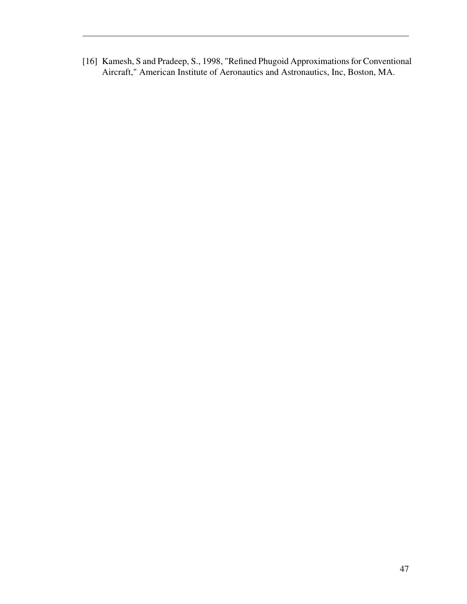<span id="page-53-0"></span>[16] Kamesh, S and Pradeep, S., 1998, "Refined Phugoid Approximations for Conventional Aircraft," American Institute of Aeronautics and Astronautics, Inc, Boston, MA.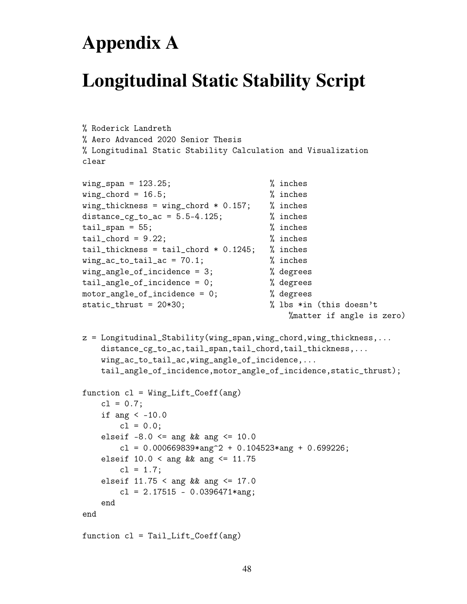# **Appendix A**

# <span id="page-54-0"></span>**Longitudinal Static Stability Script**

```
% Roderick Landreth
% Aero Advanced 2020 Senior Thesis
% Longitudinal Static Stability Calculation and Visualization
clear
wing_span = 123.25; % inches
wing\_chord = 16.5; % inches
wing_{th}ickness = wing_chord * 0.157; % inches
distance_cg_to_ac = 5.5-4.125; % inches
tail_span = 55; % inches
tail_{\text{chord}} = 9.22; \% inches
tail_thickness = tail_chord * 0.1245; % inches
wing_a c_to_tail_a c = 70.1; % inches
wing_angle_of_incidence = 3; % degrees
tail_angle_of_incidence = 0; % degrees
motor_angle_of_incidence = 0; % degrees
static_thrust = 20*30; % lbs *in (this doesn't
                                       %matter if angle is zero)
z = Longitudinal_Stability(wing_span,wing_chord,wing_thickness,...
   distance_cg_to_ac,tail_span,tail_chord,tail_thickness,...
   wing_ac_to_tail_ac,wing_angle_of_incidence,...
   tail_angle_of_incidence,motor_angle_of_incidence,static_thrust);
function c1 = Wing_Lift_Coeff(ang))cl = 0.7;if ang \le -10.0
       cl = 0.0;
   elseif -8.0 \leq \text{ang} && ang \leq 10.0cl = 0.000669839*ang^2 + 0.104523*ang + 0.699226;
   elseif 10.0 < ang && ang \leq 11.75cl = 1.7;elseif 11.75 < ang && ang <= 17.0
       cl = 2.17515 - 0.0396471*ang;end
end
function cl = Tail_Lift_Coeff(ang)
```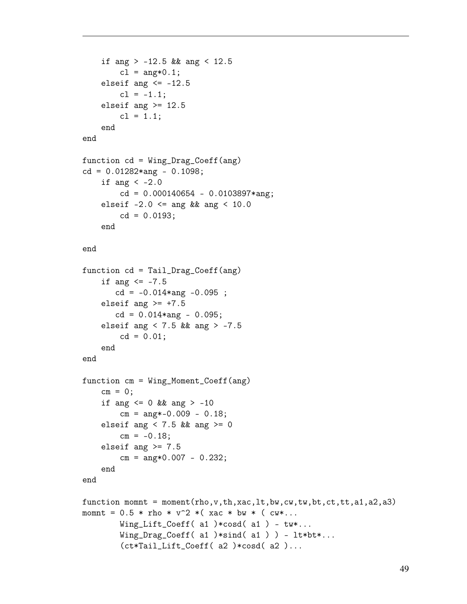```
if ang > -12.5 && ang < 12.5
        cl = ang*0.1;elseif ang \le -12.5cl = -1.1;elseif ang > = 12.5cl = 1.1;end
end
function cd = Wing_Drag\_Coeff(ang))cd = 0.01282*ang - 0.1098;if ang \langle -2.0cd = 0.000140654 - 0.0103897*ang;elseif -2.0 \leq ang && ang < 10.0cd = 0.0193;end
end
function cd = Tail_Drag_Coeff(ang)
    if ang \le -7.5cd = -0.014*ang -0.095;
    elseif ang >= +7.5cd = 0.014*ang - 0.095;elseif ang < 7.5 && ang > -7.5cd = 0.01;
    end
end
function cm = Wing_Moment_Coeff(ang)
    cm = 0;
    if ang \leq 0 && ang > -10cm = ang*-0.009 - 0.18;elseif ang < 7.5 && ang >= 0cm = -0.18;elseif ang >= 7.5cm = ang*0.007 - 0.232;end
end
function momnt = moment(rho,v,th,xac,lt,bw,cw,tw,bt,ct,tt,a1,a2,a3)
momnt = 0.5 * rho * v<sup>2</sup> *( xac * bw * ( cw*...)
        Wing_Lift_Coeff( a1 ) * cosd( a1 ) - tw*....
        Wing_Drag_Coeff( a1 )*sind( a1 ) ) - lt*bt*...(ct*Tail_Lift_Coeff( a2 )*cosd( a2 )...
```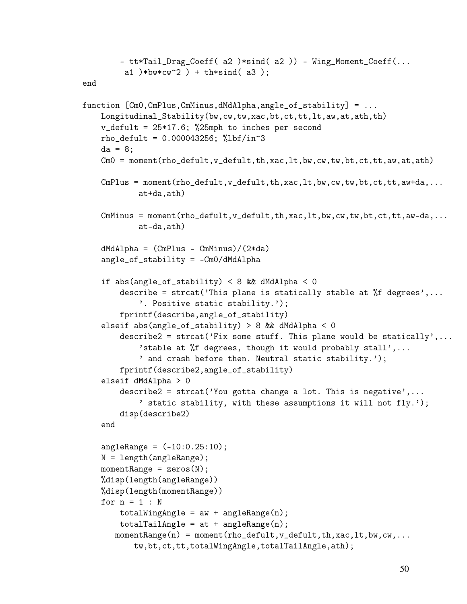```
- tt*Tail_Drag_Coeff( a2 )*sind( a2 )) - Wing_Moment_Coeff(...
         a1 )*bw*cw^2 ) + th*sind( a3 );
end
function [Cm0,CmPlus,CmMinus,dMdAlpha,angle_of_stability] = ...
    Longitudinal_Stability(bw,cw,tw,xac,bt,ct,tt,lt,aw,at,ath,th)
    v_defult = 25*17.6; %25mph to inches per second
    rho_{defult} = 0.000043256; %lbf/in^3
    da = 8:
    Cm0 = moment(rho_defult, v_defult, th, xac, lt, bw, cw, tw, bt, ct, tt, aw, at, ath)
    CmPlus = moment(rho\_default, v\_default, th, xac, lt, bw, cw, tt, bt, ct, tt, aw+da,...at+da,ath)
    CmMinus = moment(rho_defull, v_defull, th, xac, lt, bw, cw, tw, bt, ct, tt, aw-da, ...at-da,ath)
    dMdAlpha = (CmPlus - CmMinus)/(2*da)angle_of_stability = -Cm0/dMdAlpha
    if abs(angle_of_stability) < 8 && dMdAlpha < 0
        describe = strcat('This plane is statically stable at %f degrees',...
            '. Positive static stability.');
        fprintf(describe,angle_of_stability)
    elseif abs(angle_of_stability) > 8 && dMdAlpha < 0
        describe2 = strcat('Fix some stuff. This plane would be statically',...
            'stable at %f degrees, though it would probably stall',...
            ' and crash before then. Neutral static stability.');
        fprintf(describe2,angle_of_stability)
    elseif dMdAlpha > 0
        describe2 = strcat('You gotta change a lot. This is negative',...
            ' static stability, with these assumptions it will not fly.');
        disp(describe2)
    end
    angleRange = (-10:0.25:10);N = length(angleRange);
    momentRange = zeros(N);%disp(length(angleRange))
    %disp(length(momentRange))
    for n = 1 : N
        totalWingAngle = aw + angleRange(n);totalTailAngle = at + angleRange(n);momentRange(n) = moment(rho_defull, v_defull, th, xac, lt, bw, cw, ...tw,bt,ct,tt,totalWingAngle,totalTailAngle,ath);
```